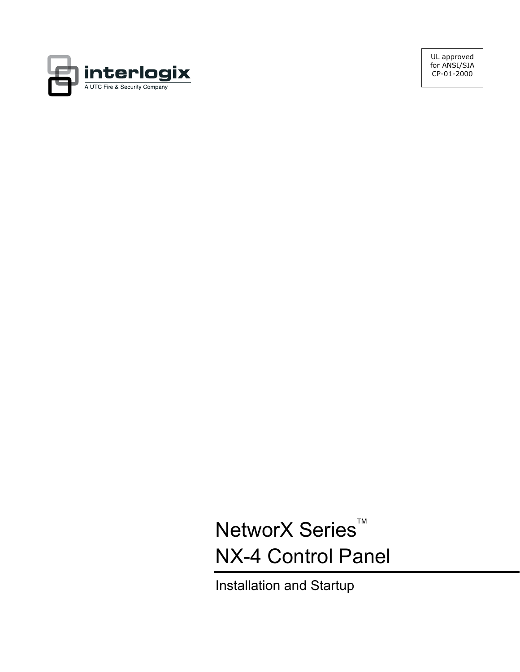

UL approved for ANSI/SIA CP-01-2000

NetworX Series<sup>™</sup> NX-4 Control Panel

Installation and Startup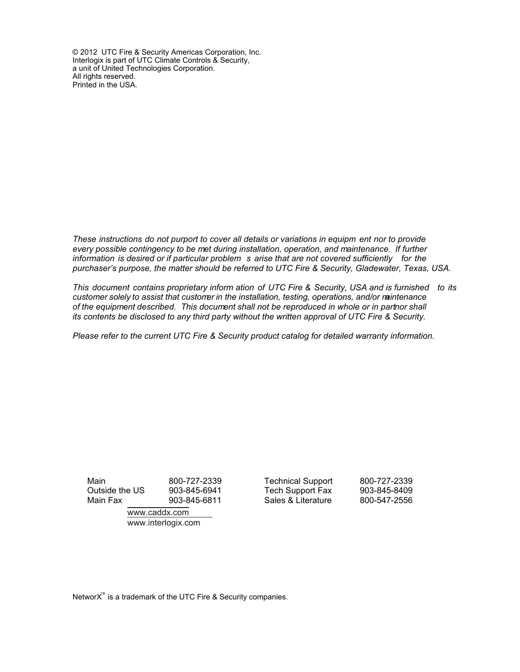© 2012 UTC Fire & Security Americas Corporation, Inc. Interlogix is part of UTC Climate Controls & Security, a unit of United Technologies Corporation. All rights reserved. Printed in the USA.

*These instructions do not purport to cover all details or variations in equipm ent nor to provide every possible contingency to be met during installation, operation, and maintenance. If further information is desired or if particular problem s arise that are not covered sufficiently for the purchaser's purpose, the matter should be referred to UTC Fire & Security, Gladewater, Texas, USA.* 

*This document contains proprietary inform ation of UTC Fire & Security, USA and is furnished to its customer solely to assist that customer in the installation, testing, operations, and/or maintenance*  of the equipment described. This document shall not be reproduced in whole or in partnor shall *its contents be disclosed to any third party without the written approval of UTC Fire & Security.* 

*Please refer to the current UTC Fire & Security product catalog for detailed warranty information.* 

www.caddx.com www.interlogix.com

Main 800-727-2339 Technical Support 800-727-2339 Outside the US 903-845-6941 Tech Support Fax 903-845-8409 Main Fax 903-845-6811 Sales & Literature 800-547-2556

NetworX<sup>™</sup> is a trademark of the UTC Fire & Security companies.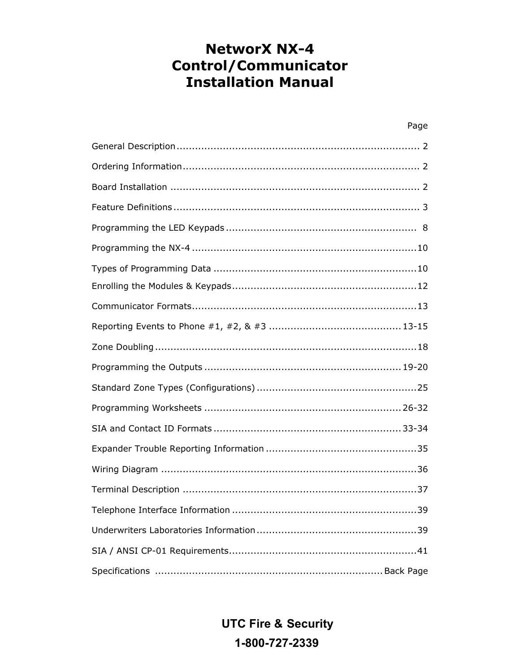# **NetworX NX-4 Control/Communicator Installation Manual**

| Page |
|------|
|      |
|      |
|      |
|      |
|      |
|      |
|      |
|      |
|      |
|      |
|      |
|      |
|      |
|      |
|      |
|      |
|      |
|      |
|      |
|      |
|      |
|      |

**UTC Fire & Security** 1-800-727-2339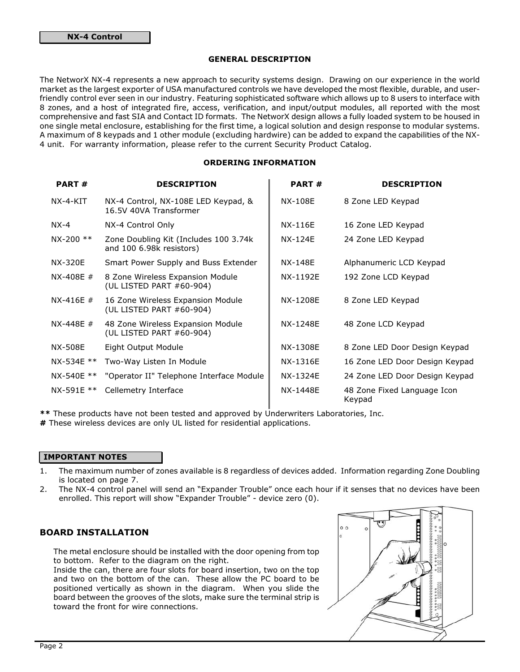#### GENERAL DESCRIPTION

The NetworX NX-4 represents a new approach to security systems design. Drawing on our experience in the world market as the largest exporter of USA manufactured controls we have developed the most flexible, durable, and userfriendly control ever seen in our industry. Featuring sophisticated software which allows up to 8 users to interface with 8 zones, and a host of integrated fire, access, verification, and input/output modules, all reported with the most comprehensive and fast SIA and Contact ID formats. The NetworX design allows a fully loaded system to be housed in one single metal enclosure, establishing for the first time, a logical solution and design response to modular systems. A maximum of 8 keypads and 1 other module (excluding hardwire) can be added to expand the capabilities of the NX-4 unit. For warranty information, please refer to the current Security Product Catalog.

## ORDERING INFORMATION

| <b>PART#</b>   | <b>DESCRIPTION</b>                                                | <b>PART#</b> | <b>DESCRIPTION</b>                    |
|----------------|-------------------------------------------------------------------|--------------|---------------------------------------|
| NX-4-KIT       | NX-4 Control, NX-108E LED Keypad, &<br>16.5V 40VA Transformer     | NX-108E      | 8 Zone LED Keypad                     |
| $NX-4$         | NX-4 Control Only                                                 | NX-116E      | 16 Zone LED Keypad                    |
| $NX-200$ **    | Zone Doubling Kit (Includes 100 3.74k<br>and 100 6.98k resistors) | NX-124E      | 24 Zone LED Keypad                    |
| <b>NX-320E</b> | Smart Power Supply and Buss Extender                              | NX-148E      | Alphanumeric LCD Keypad               |
| $NX-408E #$    | 8 Zone Wireless Expansion Module<br>(UL LISTED PART #60-904)      | NX-1192E     | 192 Zone LCD Keypad                   |
| $NX-416E #$    | 16 Zone Wireless Expansion Module<br>(UL LISTED PART #60-904)     | NX-1208E     | 8 Zone LED Keypad                     |
| $NX-448E #$    | 48 Zone Wireless Expansion Module<br>(UL LISTED PART #60-904)     | NX-1248E     | 48 Zone LCD Keypad                    |
| <b>NX-508E</b> | Eight Output Module                                               | NX-1308E     | 8 Zone LED Door Design Keypad         |
| NX-534E **     | Two-Way Listen In Module                                          | NX-1316E     | 16 Zone LED Door Design Keypad        |
| NX-540E **     | "Operator II" Telephone Interface Module                          | NX-1324E     | 24 Zone LED Door Design Keypad        |
| NX-591E **     | Cellemetry Interface                                              | NX-1448E     | 48 Zone Fixed Language Icon<br>Keypad |

\*\* These products have not been tested and approved by Underwriters Laboratories, Inc.

# These wireless devices are only UL listed for residential applications.

### IMPORTANT NOTES

- 1. The maximum number of zones available is 8 regardless of devices added. Information regarding Zone Doubling is located on page 7.
- 2. The NX-4 control panel will send an "Expander Trouble" once each hour if it senses that no devices have been enrolled. This report will show "Expander Trouble" - device zero (0).

## BOARD INSTALLATION

The metal enclosure should be installed with the door opening from top to bottom. Refer to the diagram on the right.

Inside the can, there are four slots for board insertion, two on the top and two on the bottom of the can. These allow the PC board to be positioned vertically as shown in the diagram. When you slide the board between the grooves of the slots, make sure the terminal strip is toward the front for wire connections.

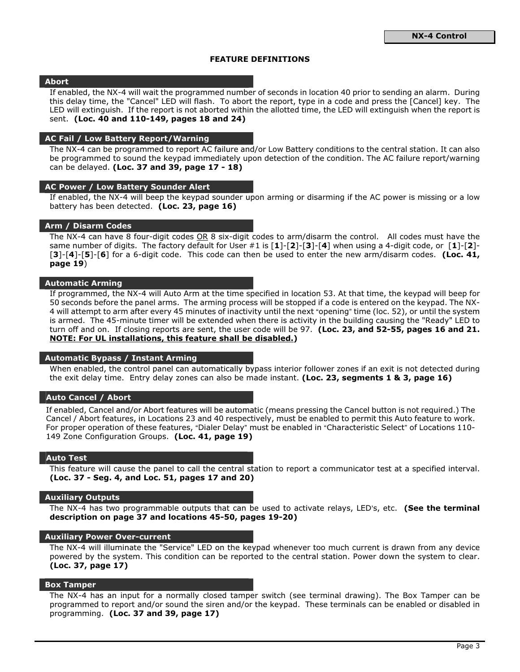## FEATURE DEFINITIONS

#### Abort

If enabled, the NX-4 will wait the programmed number of seconds in location 40 prior to sending an alarm. During this delay time, the "Cancel" LED will flash. To abort the report, type in a code and press the [Cancel] key. The LED will extinguish. If the report is not aborted within the allotted time, the LED will extinguish when the report is sent. (Loc. 40 and 110-149, pages 18 and 24)

#### AC Fail / Low Battery Report/Warning

The NX-4 can be programmed to report AC failure and/or Low Battery conditions to the central station. It can also be programmed to sound the keypad immediately upon detection of the condition. The AC failure report/warning can be delayed. (Loc. 37 and 39, page 17 - 18)

#### AC Power / Low Battery Sounder Alert

If enabled, the NX-4 will beep the keypad sounder upon arming or disarming if the AC power is missing or a low battery has been detected. (Loc. 23, page 16)

#### Arm / Disarm Codes

The NX-4 can have 8 four-digit codes OR 8 six-digit codes to arm/disarm the control. All codes must have the same number of digits. The factory default for User  $\#1$  is  $[1]-[2]-[3]-[4]$  when using a 4-digit code, or  $[1]-[2]-$ [3]-[4]-[5]-[6] for a 6-digit code. This code can then be used to enter the new arm/disarm codes. (Loc. 41, page 19)

#### Automatic Arming

If programmed, the NX-4 will Auto Arm at the time specified in location 53. At that time, the keypad will beep for 50 seconds before the panel arms. The arming process will be stopped if a code is entered on the keypad. The NX-4 will attempt to arm after every 45 minutes of inactivity until the next "opening" time (loc. 52), or until the system is armed. The 45-minute timer will be extended when there is activity in the building causing the "Ready" LED to turn off and on. If closing reports are sent, the user code will be 97. (Loc. 23, and 52-55, pages 16 and 21. NOTE: For UL installations, this feature shall be disabled.)

#### Automatic Bypass / Instant Arming

When enabled, the control panel can automatically bypass interior follower zones if an exit is not detected during the exit delay time. Entry delay zones can also be made instant. (Loc. 23, segments 1 & 3, page 16)

#### Auto Cancel / Abort

If enabled, Cancel and/or Abort features will be automatic (means pressing the Cancel button is not required.) The Cancel / Abort features, in Locations 23 and 40 respectively, must be enabled to permit this Auto feature to work. For proper operation of these features, "Dialer Delay" must be enabled in "Characteristic Select" of Locations 110-149 Zone Configuration Groups. (Loc. 41, page 19)

#### Auto Test

This feature will cause the panel to call the central station to report a communicator test at a specified interval. (Loc. 37 - Seg. 4, and Loc. 51, pages 17 and 20)

#### Auxiliary Outputs

The NX-4 has two programmable outputs that can be used to activate relays, LED's, etc. (See the terminal description on page 37 and locations 45-50, pages 19-20)

#### Auxiliary Power Over-current

The NX-4 will illuminate the "Service" LED on the keypad whenever too much current is drawn from any device powered by the system. This condition can be reported to the central station. Power down the system to clear. (Loc. 37, page 17)

#### Box Tamper

The NX-4 has an input for a normally closed tamper switch (see terminal drawing). The Box Tamper can be programmed to report and/or sound the siren and/or the keypad. These terminals can be enabled or disabled in programming. (Loc. 37 and 39, page 17)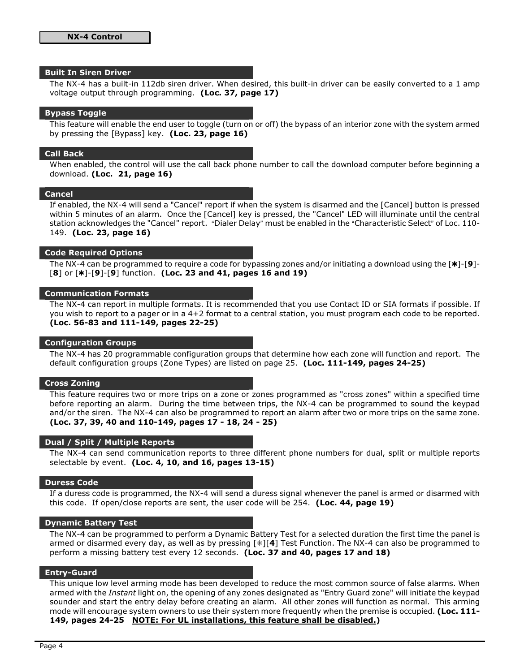#### Built In Siren Driver

The NX-4 has a built-in 112db siren driver. When desired, this built-in driver can be easily converted to a 1 amp voltage output through programming. (Loc. 37, page 17)

#### Bypass Toggle

This feature will enable the end user to toggle (turn on or off) the bypass of an interior zone with the system armed by pressing the [Bypass] key. (Loc. 23, page 16)

#### Call Back

When enabled, the control will use the call back phone number to call the download computer before beginning a download. (Loc. 21, page 16)

#### Cancel

If enabled, the NX-4 will send a "Cancel" report if when the system is disarmed and the [Cancel] button is pressed within 5 minutes of an alarm. Once the [Cancel] key is pressed, the "Cancel" LED will illuminate until the central station acknowledges the "Cancel" report. "Dialer Delay" must be enabled in the "Characteristic Select" of Loc. 110-149. (Loc. 23, page 16)

#### Code Required Options

The NX-4 can be programmed to require a code for bypassing zones and/or initiating a download using the  $\lceil * \rceil - 9 \rceil - 1$  $[8]$  or  $[*]$ - $[9]$ - $[9]$  function. (Loc. 23 and 41, pages 16 and 19)

### Communication Formats

The NX-4 can report in multiple formats. It is recommended that you use Contact ID or SIA formats if possible. If you wish to report to a pager or in a 4+2 format to a central station, you must program each code to be reported. (Loc. 56-83 and 111-149, pages 22-25)

#### Configuration Groups

The NX-4 has 20 programmable configuration groups that determine how each zone will function and report. The default configuration groups (Zone Types) are listed on page 25. (Loc. 111-149, pages 24-25)

#### Cross Zoning

This feature requires two or more trips on a zone or zones programmed as "cross zones" within a specified time before reporting an alarm. During the time between trips, the NX-4 can be programmed to sound the keypad and/or the siren. The NX-4 can also be programmed to report an alarm after two or more trips on the same zone. (Loc. 37, 39, 40 and 110-149, pages 17 - 18, 24 - 25)

#### Dual / Split / Multiple Reports

The NX-4 can send communication reports to three different phone numbers for dual, split or multiple reports selectable by event. (Loc. 4, 10, and 16, pages 13-15)

#### Duress Code

If a duress code is programmed, the NX-4 will send a duress signal whenever the panel is armed or disarmed with this code. If open/close reports are sent, the user code will be 254. (Loc. 44, page 19)

#### Dynamic Battery Test

The NX-4 can be programmed to perform a Dynamic Battery Test for a selected duration the first time the panel is armed or disarmed every day, as well as by pressing  $[*][4]$  Test Function. The NX-4 can also be programmed to perform a missing battery test every 12 seconds. (Loc. 37 and 40, pages 17 and 18)

#### Entry-Guard

This unique low level arming mode has been developed to reduce the most common source of false alarms. When armed with the Instant light on, the opening of any zones designated as "Entry Guard zone" will initiate the keypad sounder and start the entry delay before creating an alarm. All other zones will function as normal. This arming mode will encourage system owners to use their system more frequently when the premise is occupied. (Loc. 111-149, pages 24-25 NOTE: For UL installations, this feature shall be disabled.)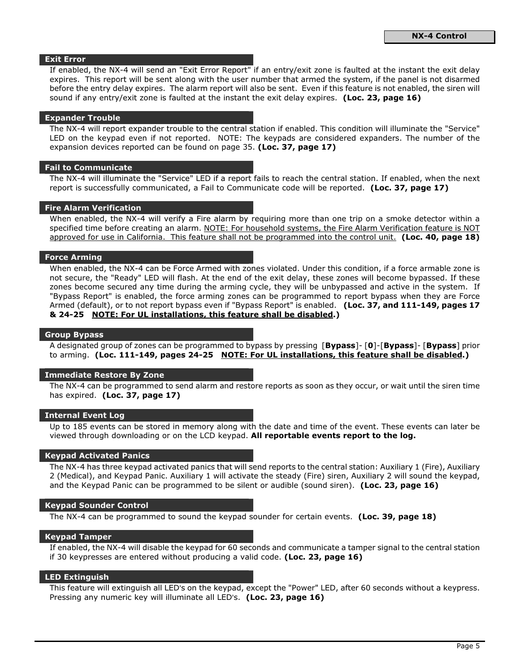#### Exit Error

If enabled, the NX-4 will send an "Exit Error Report" if an entry/exit zone is faulted at the instant the exit delay expires. This report will be sent along with the user number that armed the system, if the panel is not disarmed before the entry delay expires. The alarm report will also be sent. Even if this feature is not enabled, the siren will sound if any entry/exit zone is faulted at the instant the exit delay expires. (Loc. 23, page 16)

#### Expander Trouble

The NX-4 will report expander trouble to the central station if enabled. This condition will illuminate the "Service" LED on the keypad even if not reported. NOTE: The keypads are considered expanders. The number of the expansion devices reported can be found on page 35. (Loc. 37, page 17)

#### Fail to Communicate

The NX-4 will illuminate the "Service" LED if a report fails to reach the central station. If enabled, when the next report is successfully communicated, a Fail to Communicate code will be reported. (Loc. 37, page 17)

#### Fire Alarm Verification

When enabled, the NX-4 will verify a Fire alarm by requiring more than one trip on a smoke detector within a specified time before creating an alarm. NOTE: For household systems, the Fire Alarm Verification feature is NOT approved for use in California. This feature shall not be programmed into the control unit. (Loc. 40, page 18)

#### Force Arming

When enabled, the NX-4 can be Force Armed with zones violated. Under this condition, if a force armable zone is not secure, the "Ready" LED will flash. At the end of the exit delay, these zones will become bypassed. If these zones become secured any time during the arming cycle, they will be unbypassed and active in the system. If "Bypass Report" is enabled, the force arming zones can be programmed to report bypass when they are Force Armed (default), or to not report bypass even if "Bypass Report" is enabled. (Loc. 37, and 111-149, pages 17 & 24-25 NOTE: For UL installations, this feature shall be disabled.)

#### Group Bypass

A designated group of zones can be programmed to bypass by pressing [Bypass]- [0]-[Bypass]- [Bypass] prior to arming. (Loc. 111-149, pages 24-25 NOTE: For UL installations, this feature shall be disabled.)

#### Immediate Restore By Zone

The NX-4 can be programmed to send alarm and restore reports as soon as they occur, or wait until the siren time has expired. (Loc. 37, page 17)

### Internal Event Log

Up to 185 events can be stored in memory along with the date and time of the event. These events can later be viewed through downloading or on the LCD keypad. All reportable events report to the log.

#### Keypad Activated Panics

The NX-4 has three keypad activated panics that will send reports to the central station: Auxiliary 1 (Fire), Auxiliary 2 (Medical), and Keypad Panic. Auxiliary 1 will activate the steady (Fire) siren, Auxiliary 2 will sound the keypad, and the Keypad Panic can be programmed to be silent or audible (sound siren). (Loc. 23, page 16)

#### Keypad Sounder Control

The NX-4 can be programmed to sound the keypad sounder for certain events. (Loc. 39, page 18)

#### Keypad Tamper

If enabled, the NX-4 will disable the keypad for 60 seconds and communicate a tamper signal to the central station if 30 keypresses are entered without producing a valid code. (Loc. 23, page 16)

#### LED Extinguish

This feature will extinguish all LED's on the keypad, except the "Power" LED, after 60 seconds without a keypress. Pressing any numeric key will illuminate all LED's. (Loc. 23, page 16)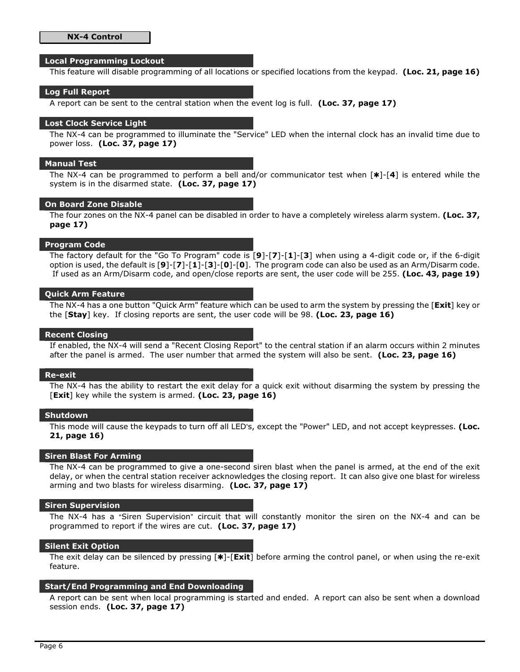#### Local Programming Lockout

This feature will disable programming of all locations or specified locations from the keypad. (Loc. 21, page 16)

#### Log Full Report

A report can be sent to the central station when the event log is full. (Loc. 37, page 17)

#### Lost Clock Service Light

The NX-4 can be programmed to illuminate the "Service" LED when the internal clock has an invalid time due to power loss. (Loc. 37, page 17)

#### Manual Test

The NX-4 can be programmed to perform a bell and/or communicator test when  $[*]$ -[4] is entered while the system is in the disarmed state. (Loc. 37, page 17)

#### On Board Zone Disable

The four zones on the NX-4 panel can be disabled in order to have a completely wireless alarm system. (Loc. 37, page 17)

#### Program Code

The factory default for the "Go To Program" code is  $[9]$ - $[7]$ - $[1]$ - $[3]$  when using a 4-digit code or, if the 6-digit option is used, the default is [9]-[7]-[1]-[3]-[0]-[0]. The program code can also be used as an Arm/Disarm code. If used as an Arm/Disarm code, and open/close reports are sent, the user code will be 255. (Loc. 43, page 19)

#### Quick Arm Feature

The NX-4 has a one button "Quick Arm" feature which can be used to arm the system by pressing the [Exit] key or the  $\text{[Stay]}$  key. If closing reports are sent, the user code will be 98. (Loc. 23, page 16)

#### Recent Closing

If enabled, the NX-4 will send a "Recent Closing Report" to the central station if an alarm occurs within 2 minutes after the panel is armed. The user number that armed the system will also be sent. (Loc. 23, page 16)

#### Re-exit

The NX-4 has the ability to restart the exit delay for a quick exit without disarming the system by pressing the [Exit] key while the system is armed. (Loc. 23, page 16)

## **Shutdown**

This mode will cause the keypads to turn off all LED's, except the "Power" LED, and not accept keypresses. (Loc. 21, page 16)

#### Siren Blast For Arming

The NX-4 can be programmed to give a one-second siren blast when the panel is armed, at the end of the exit delay, or when the central station receiver acknowledges the closing report. It can also give one blast for wireless arming and two blasts for wireless disarming. (Loc. 37, page 17)

#### Siren Supervision

The NX-4 has a "Siren Supervision" circuit that will constantly monitor the siren on the NX-4 and can be programmed to report if the wires are cut. (Loc. 37, page 17)

#### Silent Exit Option

The exit delay can be silenced by pressing  $[*]$ - $[Exit]$  before arming the control panel, or when using the re-exit feature.

#### Start/End Programming and End Downloading

A report can be sent when local programming is started and ended. A report can also be sent when a download session ends. (Loc. 37, page 17)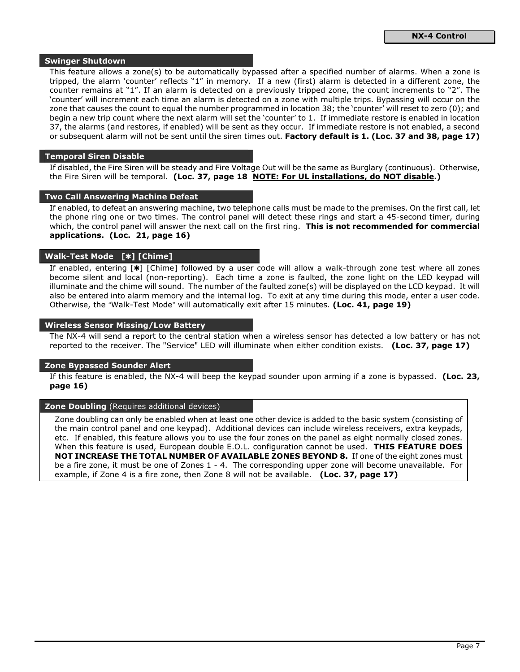#### Swinger Shutdown

This feature allows a zone(s) to be automatically bypassed after a specified number of alarms. When a zone is tripped, the alarm 'counter' reflects "1" in memory. If a new (first) alarm is detected in a different zone, the counter remains at "1". If an alarm is detected on a previously tripped zone, the count increments to "2". The 'counter' will increment each time an alarm is detected on a zone with multiple trips. Bypassing will occur on the zone that causes the count to equal the number programmed in location 38; the 'counter' will reset to zero (0); and begin a new trip count where the next alarm will set the 'counter' to 1. If immediate restore is enabled in location 37, the alarms (and restores, if enabled) will be sent as they occur. If immediate restore is not enabled, a second or subsequent alarm will not be sent until the siren times out. Factory default is 1. (Loc. 37 and 38, page 17)

#### Temporal Siren Disable

If disabled, the Fire Siren will be steady and Fire Voltage Out will be the same as Burglary (continuous). Otherwise, the Fire Siren will be temporal. (Loc. 37, page 18 NOTE: For UL installations, do NOT disable.)

#### Two Call Answering Machine Defeat

If enabled, to defeat an answering machine, two telephone calls must be made to the premises. On the first call, let the phone ring one or two times. The control panel will detect these rings and start a 45-second timer, during which, the control panel will answer the next call on the first ring. This is not recommended for commercial applications. (Loc. 21, page 16)

## Walk-Test Mode [\*] [Chime]

If enabled, entering  $[\ast]$  [Chime] followed by a user code will allow a walk-through zone test where all zones become silent and local (non-reporting). Each time a zone is faulted, the zone light on the LED keypad will illuminate and the chime will sound. The number of the faulted zone(s) will be displayed on the LCD keypad. It will also be entered into alarm memory and the internal log. To exit at any time during this mode, enter a user code. Otherwise, the "Walk-Test Mode" will automatically exit after 15 minutes. (Loc. 41, page 19)

#### Wireless Sensor Missing/Low Battery

The NX-4 will send a report to the central station when a wireless sensor has detected a low battery or has not reported to the receiver. The "Service" LED will illuminate when either condition exists. (Loc. 37, page 17)

#### Zone Bypassed Sounder Alert

If this feature is enabled, the NX-4 will beep the keypad sounder upon arming if a zone is bypassed. (Loc. 23, page 16)

#### **Zone Doubling** (Requires additional devices)

Zone doubling can only be enabled when at least one other device is added to the basic system (consisting of the main control panel and one keypad). Additional devices can include wireless receivers, extra keypads, etc. If enabled, this feature allows you to use the four zones on the panel as eight normally closed zones. When this feature is used, European double E.O.L. configuration cannot be used. THIS FEATURE DOES NOT INCREASE THE TOTAL NUMBER OF AVAILABLE ZONES BEYOND 8. If one of the eight zones must be a fire zone, it must be one of Zones 1 - 4. The corresponding upper zone will become unavailable. For example, if Zone 4 is a fire zone, then Zone 8 will not be available. (Loc. 37, page 17)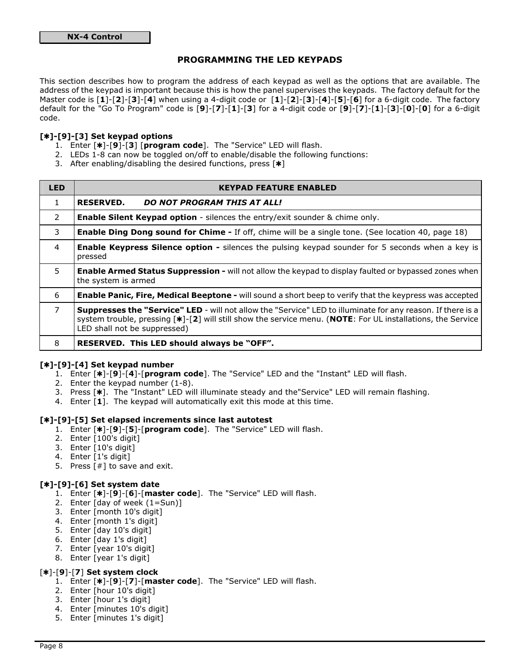## PROGRAMMING THE LED KEYPADS

This section describes how to program the address of each keypad as well as the options that are available. The address of the keypad is important because this is how the panel supervises the keypads. The factory default for the Master code is [1]-[2]-[3]-[4] when using a 4-digit code or [1]-[2]-[3]-[4]-[5]-[6] for a 6-digit code. The factory default for the "Go To Program" code is [9]-[7]-[1]-[3] for a 4-digit code or [9]-[7]-[1]-[3]-[0]-[0] for a 6-digit code.

## $[*]$ -[9]-[3] Set keypad options

- 1. Enter [\*]-[9]-[3] [program code]. The "Service" LED will flash.
- 2. LEDs 1-8 can now be toggled on/off to enable/disable the following functions:
- 3. After enabling/disabling the desired functions, press  $[*]$

| <b>LED</b>     | <b>KEYPAD FEATURE ENABLED</b>                                                                                                                                                                                                                                     |
|----------------|-------------------------------------------------------------------------------------------------------------------------------------------------------------------------------------------------------------------------------------------------------------------|
| 1.             | <b>RESERVED.</b><br><b>DO NOT PROGRAM THIS AT ALL!</b>                                                                                                                                                                                                            |
| $\overline{2}$ | <b>Enable Silent Keypad option</b> - silences the entry/exit sounder & chime only.                                                                                                                                                                                |
| 3              | <b>Enable Ding Dong sound for Chime -</b> If off, chime will be a single tone. (See location 40, page 18)                                                                                                                                                         |
| $\overline{4}$ | <b>Enable Keypress Silence option -</b> silences the pulsing keypad sounder for 5 seconds when a key is<br>pressed                                                                                                                                                |
| 5              | Enable Armed Status Suppression - will not allow the keypad to display faulted or bypassed zones when<br>the system is armed                                                                                                                                      |
| 6              | <b>Enable Panic, Fire, Medical Beeptone -</b> will sound a short beep to verify that the keypress was accepted                                                                                                                                                    |
| $\overline{7}$ | <b>Suppresses the "Service" LED</b> - will not allow the "Service" LED to illuminate for any reason. If there is a<br>system trouble, pressing [*]-[2] will still show the service menu. (NOTE: For UL installations, the Service<br>LED shall not be suppressed) |
| 8              | RESERVED. This LED should always be "OFF".                                                                                                                                                                                                                        |

## $[*]$ -[9]-[4] Set keypad number

- 1. Enter [\*]-[9]-[4]-[program code]. The "Service" LED and the "Instant" LED will flash.
- 2. Enter the keypad number (1-8).
- 3. Press [\*]. The "Instant" LED will illuminate steady and the"Service" LED will remain flashing.
- 4. Enter  $\left[1\right]$ . The keypad will automatically exit this mode at this time.

#### [\*]-[9]-[5] Set elapsed increments since last autotest

- 1. Enter [\*]-[9]-[5]-[program code]. The "Service" LED will flash.
- 2. Enter [100's digit]
- 3. Enter [10's digit]
- 4. Enter [1's digit]
- 5. Press  $[#]$  to save and exit.

## $[*]$ -[9]-[6] Set system date

- 1. Enter [\*]-[9]-[6]-[master code]. The "Service" LED will flash.
- 2. Enter [day of week (1=Sun)]
- 3. Enter [month 10's digit]
- 4. Enter [month 1's digit]
- 5. Enter [day 10's digit]
- 6. Enter [day 1's digit]
- 7. Enter [year 10's digit]
- 8. Enter [year 1's digit]

## $[k]$ -[9]-[7] Set system clock

- 1. Enter [\*]-[9]-[7]-[master code]. The "Service" LED will flash.
- 2. Enter [hour 10's digit]
- 3. Enter [hour 1's digit]
- 4. Enter [minutes 10's digit]
- 5. Enter [minutes 1's digit]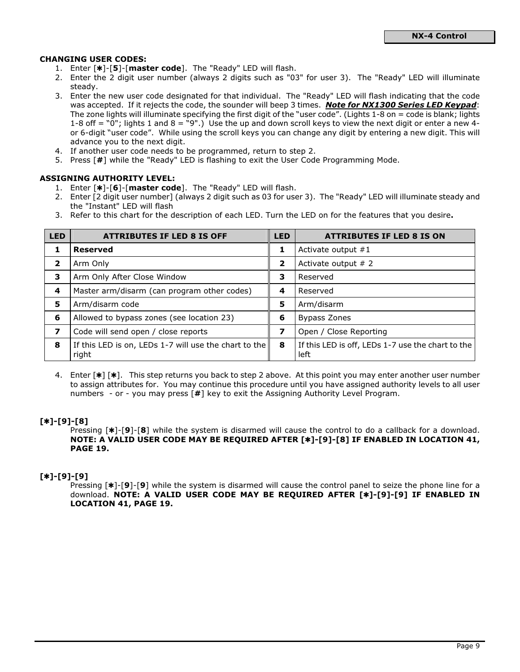## CHANGING USER CODES:

- 1. Enter  $[\ast]$ - $[5]$ - $[master code]$ . The "Ready" LED will flash.
- 2. Enter the 2 digit user number (always 2 digits such as "03" for user 3). The "Ready" LED will illuminate steady.
- 3. Enter the new user code designated for that individual. The "Ready" LED will flash indicating that the code was accepted. If it rejects the code, the sounder will beep 3 times. Note for NX1300 Series LED Keypad: The zone lights will illuminate specifying the first digit of the "user code". (Lights 1-8 on = code is blank; lights 1-8 off  $=$  "0"; lights 1 and 8  $=$  "9".) Use the up and down scroll keys to view the next digit or enter a new 4or 6-digit "user code". While using the scroll keys you can change any digit by entering a new digit. This will advance you to the next digit.
- 4. If another user code needs to be programmed, return to step 2.
- 5. Press [#] while the "Ready" LED is flashing to exit the User Code Programming Mode.

## ASSIGNING AUTHORITY LEVEL:

- 1. Enter [\*]-[6]-[master code]. The "Ready" LED will flash.
- 2. Enter [2 digit user number] (always 2 digit such as 03 for user 3). The "Ready" LED will illuminate steady and the "Instant" LED will flash
- 3. Refer to this chart for the description of each LED. Turn the LED on for the features that you desire.

| LED | <b>ATTRIBUTES IF LED 8 IS OFF</b>                              | <b>LED</b> | <b>ATTRIBUTES IF LED 8 IS ON</b>                          |
|-----|----------------------------------------------------------------|------------|-----------------------------------------------------------|
| 1   | <b>Reserved</b>                                                | 1          | Activate output $#1$                                      |
| 2   | Arm Only                                                       | 2          | Activate output $# 2$                                     |
| з   | Arm Only After Close Window                                    | з          | Reserved                                                  |
| 4   | Master arm/disarm (can program other codes)                    | 4          | Reserved                                                  |
| 5   | Arm/disarm code                                                | 5          | Arm/disarm                                                |
| 6   | Allowed to bypass zones (see location 23)                      | 6          | <b>Bypass Zones</b>                                       |
| 7   | Code will send open / close reports                            |            | Open / Close Reporting                                    |
| 8   | If this LED is on, LEDs 1-7 will use the chart to the<br>right | 8          | If this LED is off, LEDs 1-7 use the chart to the<br>left |

4. Enter  $[\ast] [\ast]$ . This step returns you back to step 2 above. At this point you may enter another user number to assign attributes for. You may continue this procedure until you have assigned authority levels to all user numbers - or - you may press [#] key to exit the Assigning Authority Level Program.

## $[k+1-[9]-[8]$

Pressing  $[*]$ -[9]-[8] while the system is disarmed will cause the control to do a callback for a download. NOTE: A VALID USER CODE MAY BE REQUIRED AFTER [\*]-[9]-[8] IF ENABLED IN LOCATION 41, PAGE 19.

## $[*] - [9] - [9]$

Pressing  $[*]$ -[9]-[9] while the system is disarmed will cause the control panel to seize the phone line for a download. NOTE: A VALID USER CODE MAY BE REQUIRED AFTER [\*]-[9]-[9] IF ENABLED IN LOCATION 41, PAGE 19.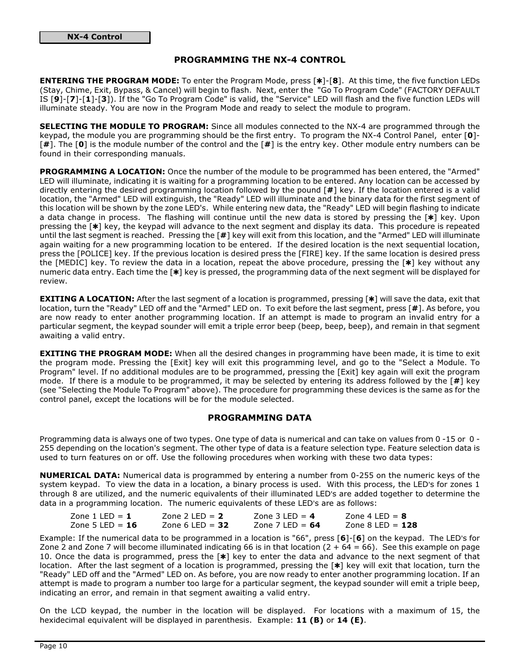## PROGRAMMING THE NX-4 CONTROL

ENTERING THE PROGRAM MODE: To enter the Program Mode, press [\*]-[8]. At this time, the five function LEDs (Stay, Chime, Exit, Bypass, & Cancel) will begin to flash. Next, enter the "Go To Program Code" (FACTORY DEFAULT IS [9]-[7]-[1]-[3]). If the "Go To Program Code" is valid, the "Service" LED will flash and the five function LEDs will illuminate steady. You are now in the Program Mode and ready to select the module to program.

SELECTING THE MODULE TO PROGRAM: Since all modules connected to the NX-4 are programmed through the keypad, the module you are programming should be the first entry. To program the NX-4 Control Panel, enter [0]-  $[#]$ . The  $[0]$  is the module number of the control and the  $[#]$  is the entry key. Other module entry numbers can be found in their corresponding manuals.

PROGRAMMING A LOCATION: Once the number of the module to be programmed has been entered, the "Armed" LED will illuminate, indicating it is waiting for a programming location to be entered. Any location can be accessed by directly entering the desired programming location followed by the pound [#] key. If the location entered is a valid location, the "Armed" LED will extinguish, the "Ready" LED will illuminate and the binary data for the first segment of this location will be shown by the zone LED's. While entering new data, the "Ready" LED will begin flashing to indicate a data change in process. The flashing will continue until the new data is stored by pressing the  $[\ast]$  key. Upon pressing the [\*] key, the keypad will advance to the next segment and display its data. This procedure is repeated until the last segment is reached. Pressing the [#] key will exit from this location, and the "Armed" LED will illuminate again waiting for a new programming location to be entered. If the desired location is the next sequential location, press the [POLICE] key. If the previous location is desired press the [FIRE] key. If the same location is desired press the [MEDIC] key. To review the data in a location, repeat the above procedure, pressing the  $[*]$  key without any numeric data entry. Each time the [\*] key is pressed, the programming data of the next segment will be displayed for review.

EXITING A LOCATION: After the last segment of a location is programmed, pressing [\*] will save the data, exit that location, turn the "Ready" LED off and the "Armed" LED on. To exit before the last segment, press [#]. As before, you are now ready to enter another programming location. If an attempt is made to program an invalid entry for a particular segment, the keypad sounder will emit a triple error beep (beep, beep, beep), and remain in that segment awaiting a valid entry.

**EXITING THE PROGRAM MODE:** When all the desired changes in programming have been made, it is time to exit the program mode. Pressing the [Exit] key will exit this programming level, and go to the "Select a Module. To Program" level. If no additional modules are to be programmed, pressing the [Exit] key again will exit the program mode. If there is a module to be programmed, it may be selected by entering its address followed by the  $[#]$  key (see "Selecting the Module To Program" above). The procedure for programming these devices is the same as for the control panel, except the locations will be for the module selected.

## PROGRAMMING DATA

Programming data is always one of two types. One type of data is numerical and can take on values from 0 -15 or 0 - 255 depending on the location's segment. The other type of data is a feature selection type. Feature selection data is used to turn features on or off. Use the following procedures when working with these two data types:

NUMERICAL DATA: Numerical data is programmed by entering a number from 0-255 on the numeric keys of the system keypad. To view the data in a location, a binary process is used. With this process, the LED's for zones 1 through 8 are utilized, and the numeric equivalents of their illuminated LED's are added together to determine the data in a programming location. The numeric equivalents of these LED's are as follows:

| Zone 1 LED = $1$  | Zone 2 LED = $2$  | Zone 3 LED = $4$  | Zone 4 LED = $8$   |
|-------------------|-------------------|-------------------|--------------------|
| Zone 5 LED = $16$ | Zone 6 LED = $32$ | Zone 7 LED = $64$ | Zone 8 LED = $128$ |

Example: If the numerical data to be programmed in a location is "66", press [6]-[6] on the keypad. The LED's for Zone 2 and Zone 7 will become illuminated indicating 66 is in that location  $(2 + 64 = 66)$ . See this example on page 10. Once the data is programmed, press the  $[*]$  key to enter the data and advance to the next segment of that location. After the last segment of a location is programmed, pressing the [\*] key will exit that location, turn the "Ready" LED off and the "Armed" LED on. As before, you are now ready to enter another programming location. If an attempt is made to program a number too large for a particular segment, the keypad sounder will emit a triple beep, indicating an error, and remain in that segment awaiting a valid entry.

On the LCD keypad, the number in the location will be displayed. For locations with a maximum of 15, the hexidecimal equivalent will be displayed in parenthesis. Example:  $11 (B)$  or  $14 (E)$ .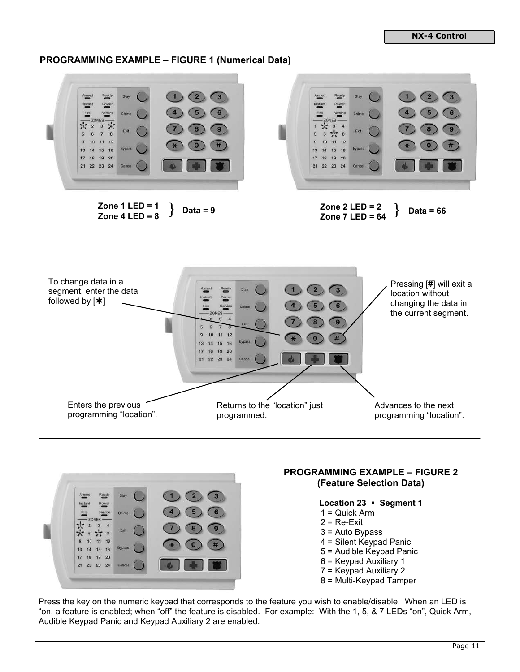## **PROGRAMMING EXAMPLE – FIGURE 1 (Numerical Data)**





# **PROGRAMMING EXAMPLE – FIGURE 2 (Feature Selection Data)**

**Location 23 Segment 1** 

- 1 = Quick Arm
- $2 = Re-Ex$
- 3 = Auto Bypass
- 4 = Silent Keypad Panic
- 5 = Audible Keypad Panic
- 6 = Keypad Auxiliary 1
- 7 = Keypad Auxiliary 2
- 8 = Multi-Keypad Tamper

Press the key on the numeric keypad that corresponds to the feature you wish to enable/disable. When an LED is "on, a feature is enabled; when "off" the feature is disabled. For example: With the 1, 5, & 7 LEDs "on", Quick Arm, Audible Keypad Panic and Keypad Auxiliary 2 are enabled.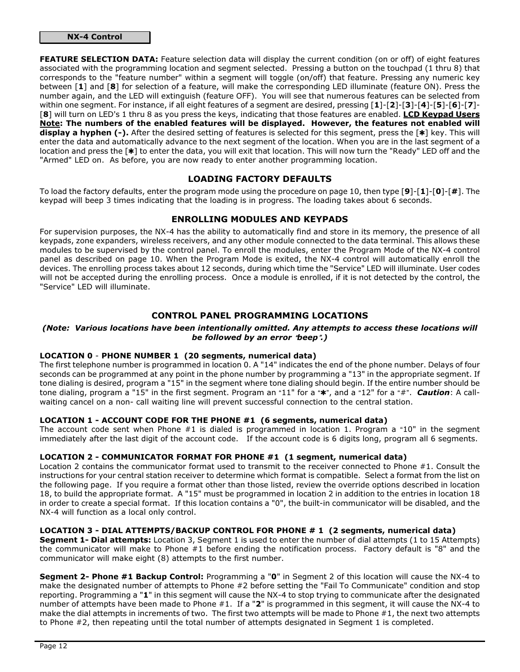## NX-4 Control

FEATURE SELECTION DATA: Feature selection data will display the current condition (on or off) of eight features associated with the programming location and segment selected. Pressing a button on the touchpad (1 thru 8) that corresponds to the "feature number" within a segment will toggle (on/off) that feature. Pressing any numeric key between [1] and [8] for selection of a feature, will make the corresponding LED illuminate (feature ON). Press the number again, and the LED will extinguish (feature OFF). You will see that numerous features can be selected from within one segment. For instance, if all eight features of a segment are desired, pressing [1]-[2]-[3]-[4]-[5]-[6]-[7]- [8] will turn on LED's 1 thru 8 as you press the keys, indicating that those features are enabled. LCD Keypad Users Note: The numbers of the enabled features will be displayed. However, the features not enabled will display a hyphen  $(-)$ . After the desired setting of features is selected for this segment, press the  $[*]$  key. This will enter the data and automatically advance to the next segment of the location. When you are in the last segment of a location and press the [\*] to enter the data, you will exit that location. This will now turn the "Ready" LED off and the "Armed" LED on. As before, you are now ready to enter another programming location.

## LOADING FACTORY DEFAULTS

To load the factory defaults, enter the program mode using the procedure on page 10, then type  $[9]$ - $[1]$ - $[0]$ - $[#$ ]. The keypad will beep 3 times indicating that the loading is in progress. The loading takes about 6 seconds.

## ENROLLING MODULES AND KEYPADS

For supervision purposes, the NX-4 has the ability to automatically find and store in its memory, the presence of all keypads, zone expanders, wireless receivers, and any other module connected to the data terminal. This allows these modules to be supervised by the control panel. To enroll the modules, enter the Program Mode of the NX-4 control panel as described on page 10. When the Program Mode is exited, the NX-4 control will automatically enroll the devices. The enrolling process takes about 12 seconds, during which time the "Service" LED will illuminate. User codes will not be accepted during the enrolling process. Once a module is enrolled, if it is not detected by the control, the "Service" LED will illuminate.

## CONTROL PANEL PROGRAMMING LOCATIONS

#### (Note: Various locations have been intentionally omitted. Any attempts to access these locations will be followed by an error  $\theta$ beep".)

## LOCATION 0 - PHONE NUMBER 1 (20 segments, numerical data)

The first telephone number is programmed in location 0. A "14" indicates the end of the phone number. Delays of four seconds can be programmed at any point in the phone number by programming a "13" in the appropriate segment. If tone dialing is desired, program a "15" in the segment where tone dialing should begin. If the entire number should be tone dialing, program a "15" in the first segment. Program an "11" for a "\*", and a "12" for a "#". Caution: A callwaiting cancel on a non- call waiting line will prevent successful connection to the central station.

## LOCATION 1 - ACCOUNT CODE FOR THE PHONE #1 (6 segments, numerical data)

The account code sent when Phone  $#1$  is dialed is programmed in location 1. Program a  $*10"$  in the segment immediately after the last digit of the account code. If the account code is 6 digits long, program all 6 segments.

## LOCATION 2 - COMMUNICATOR FORMAT FOR PHONE #1 (1 segment, numerical data)

Location 2 contains the communicator format used to transmit to the receiver connected to Phone #1. Consult the instructions for your central station receiver to determine which format is compatible. Select a format from the list on the following page. If you require a format other than those listed, review the override options described in location 18, to build the appropriate format. A "15" must be programmed in location 2 in addition to the entries in location 18 in order to create a special format. If this location contains a "0", the built-in communicator will be disabled, and the NX-4 will function as a local only control.

#### LOCATION 3 - DIAL ATTEMPTS/BACKUP CONTROL FOR PHONE # 1 (2 segments, numerical data)

**Segment 1- Dial attempts:** Location 3, Segment 1 is used to enter the number of dial attempts (1 to 15 Attempts) the communicator will make to Phone #1 before ending the notification process. Factory default is "8" and the communicator will make eight (8) attempts to the first number.

Segment 2- Phone #1 Backup Control: Programming a "0" in Segment 2 of this location will cause the NX-4 to make the designated number of attempts to Phone #2 before setting the "Fail To Communicate" condition and stop reporting. Programming a "1" in this segment will cause the NX-4 to stop trying to communicate after the designated number of attempts have been made to Phone #1. If a "2" is programmed in this segment, it will cause the NX-4 to make the dial attempts in increments of two. The first two attempts will be made to Phone  $#1$ , the next two attempts to Phone #2, then repeating until the total number of attempts designated in Segment 1 is completed.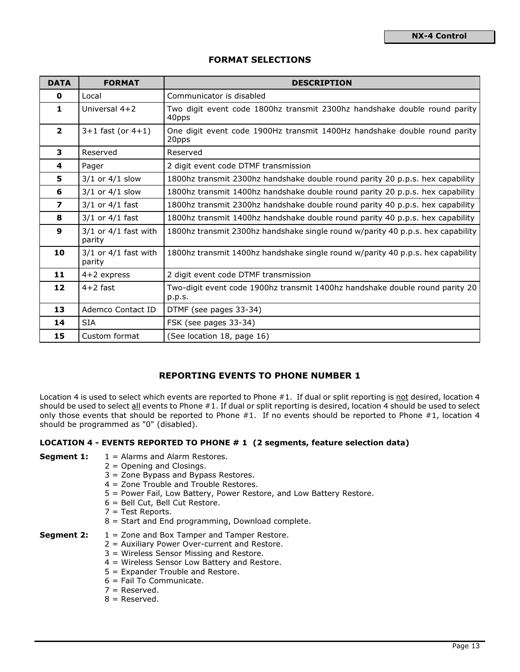## FORMAT SELECTIONS

| <b>DATA</b>             | <b>FORMAT</b>                      | <b>DESCRIPTION</b>                                                                     |
|-------------------------|------------------------------------|----------------------------------------------------------------------------------------|
| $\mathbf 0$             | Local                              | Communicator is disabled                                                               |
| 1                       | Universal $4+2$                    | Two digit event code 1800hz transmit 2300hz handshake double round parity<br>40pps     |
| $\overline{2}$          | $3+1$ fast (or $4+1$ )             | One digit event code 1900Hz transmit 1400Hz handshake double round parity<br>20pps     |
| 3                       | Reserved                           | Reserved                                                                               |
| 4                       | Pager                              | 2 digit event code DTMF transmission                                                   |
| 5                       | $3/1$ or $4/1$ slow                | 1800hz transmit 2300hz handshake double round parity 20 p.p.s. hex capability          |
| 6                       | $3/1$ or $4/1$ slow                | 1800hz transmit 1400hz handshake double round parity 20 p.p.s. hex capability          |
| $\overline{\mathbf{z}}$ | $3/1$ or $4/1$ fast                | 1800hz transmit 2300hz handshake double round parity 40 p.p.s. hex capability          |
| 8                       | $3/1$ or $4/1$ fast                | 1800hz transmit 1400hz handshake double round parity 40 p.p.s. hex capability          |
| $\mathbf{9}$            | $3/1$ or $4/1$ fast with<br>parity | 1800hz transmit 2300hz handshake single round w/parity 40 p.p.s. hex capability        |
| 10                      | $3/1$ or $4/1$ fast with<br>parity | 1800hz transmit 1400hz handshake single round w/parity 40 p.p.s. hex capability        |
| 11                      | $4+2$ express                      | 2 digit event code DTMF transmission                                                   |
| 12                      | $4+2$ fast                         | Two-digit event code 1900hz transmit 1400hz handshake double round parity 20<br>p.p.s. |
| 13                      | Ademco Contact ID                  | DTMF (see pages 33-34)                                                                 |
| 14                      | <b>SIA</b>                         | FSK (see pages 33-34)                                                                  |
| 15                      | Custom format                      | (See location 18, page 16)                                                             |

## REPORTING EVENTS TO PHONE NUMBER 1

Location 4 is used to select which events are reported to Phone #1. If dual or split reporting is not desired, location 4 should be used to select all events to Phone #1. If dual or split reporting is desired, location 4 should be used to select only those events that should be reported to Phone #1. If no events should be reported to Phone #1, location 4 should be programmed as "0" (disabled).

## LOCATION 4 - EVENTS REPORTED TO PHONE # 1 (2 segments, feature selection data)

**Segment 1:**  $1 =$  Alarms and Alarm Restores.

- 2 = Opening and Closings.
- 3 = Zone Bypass and Bypass Restores.
- 4 = Zone Trouble and Trouble Restores.
- 5 = Power Fail, Low Battery, Power Restore, and Low Battery Restore.
- 6 = Bell Cut, Bell Cut Restore.
- 7 = Test Reports.
- 8 = Start and End programming, Download complete.

#### **Segment 2:**  $1 =$  Zone and Box Tamper and Tamper Restore.

- 2 = Auxiliary Power Over-current and Restore.
- 3 = Wireless Sensor Missing and Restore.
- 4 = Wireless Sensor Low Battery and Restore.
- 5 = Expander Trouble and Restore.
- 6 = Fail To Communicate.
- $7 =$  Reserved.
- $8 =$  Reserved.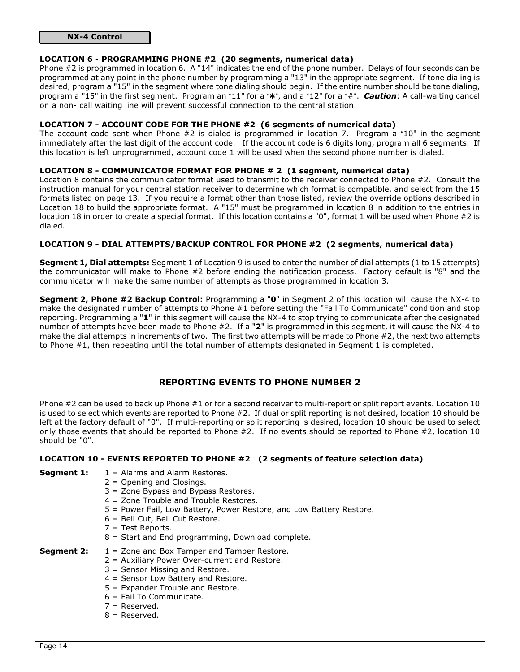## NX-4 Control

### LOCATION 6 - PROGRAMMING PHONE #2 (20 segments, numerical data)

Phone #2 is programmed in location 6. A "14" indicates the end of the phone number. Delays of four seconds can be programmed at any point in the phone number by programming a "13" in the appropriate segment. If tone dialing is desired, program a "15" in the segment where tone dialing should begin. If the entire number should be tone dialing, program a "15" in the first segment. Program an "11" for a "\*, and a "12" for a "#". Caution: A call-waiting cancel on a non- call waiting line will prevent successful connection to the central station.

#### LOCATION 7 - ACCOUNT CODE FOR THE PHONE #2 (6 segments of numerical data)

The account code sent when Phone  $#2$  is dialed is programmed in location 7. Program a "10" in the segment immediately after the last digit of the account code. If the account code is 6 digits long, program all 6 segments. If this location is left unprogrammed, account code 1 will be used when the second phone number is dialed.

## LOCATION 8 - COMMUNICATOR FORMAT FOR PHONE # 2 (1 segment, numerical data)

Location 8 contains the communicator format used to transmit to the receiver connected to Phone #2. Consult the instruction manual for your central station receiver to determine which format is compatible, and select from the 15 formats listed on page 13. If you require a format other than those listed, review the override options described in Location 18 to build the appropriate format. A "15" must be programmed in location 8 in addition to the entries in location 18 in order to create a special format. If this location contains a "0", format 1 will be used when Phone #2 is dialed.

## LOCATION 9 - DIAL ATTEMPTS/BACKUP CONTROL FOR PHONE #2 (2 segments, numerical data)

Segment 1, Dial attempts: Segment 1 of Location 9 is used to enter the number of dial attempts (1 to 15 attempts) the communicator will make to Phone #2 before ending the notification process. Factory default is "8" and the communicator will make the same number of attempts as those programmed in location 3.

Segment 2, Phone #2 Backup Control: Programming a "0" in Segment 2 of this location will cause the NX-4 to make the designated number of attempts to Phone #1 before setting the "Fail To Communicate" condition and stop reporting. Programming a "1" in this segment will cause the NX-4 to stop trying to communicate after the designated number of attempts have been made to Phone #2. If a "2" is programmed in this segment, it will cause the NX-4 to make the dial attempts in increments of two. The first two attempts will be made to Phone #2, the next two attempts to Phone #1, then repeating until the total number of attempts designated in Segment 1 is completed.

## REPORTING EVENTS TO PHONE NUMBER 2

Phone #2 can be used to back up Phone #1 or for a second receiver to multi-report or split report events. Location 10 is used to select which events are reported to Phone #2. If dual or split reporting is not desired, location 10 should be left at the factory default of "0". If multi-reporting or split reporting is desired, location 10 should be used to select only those events that should be reported to Phone #2. If no events should be reported to Phone #2, location 10 should be "0".

## LOCATION 10 - EVENTS REPORTED TO PHONE #2 (2 segments of feature selection data)

- **Segment 1:**  $1 =$  Alarms and Alarm Restores.
	- 2 = Opening and Closings.
	- 3 = Zone Bypass and Bypass Restores.
	- 4 = Zone Trouble and Trouble Restores.
	- 5 = Power Fail, Low Battery, Power Restore, and Low Battery Restore.
	- 6 = Bell Cut, Bell Cut Restore.
	- 7 = Test Reports.
	- 8 = Start and End programming, Download complete.
- 
- **Segment 2:**  $1 =$  Zone and Box Tamper and Tamper Restore. 2 = Auxiliary Power Over-current and Restore.
	- 3 = Sensor Missing and Restore.
	- 4 = Sensor Low Battery and Restore.
	- 5 = Expander Trouble and Restore.
	- 6 = Fail To Communicate.
	-
	- 7 = Reserved.
	- $8 =$  Reserved.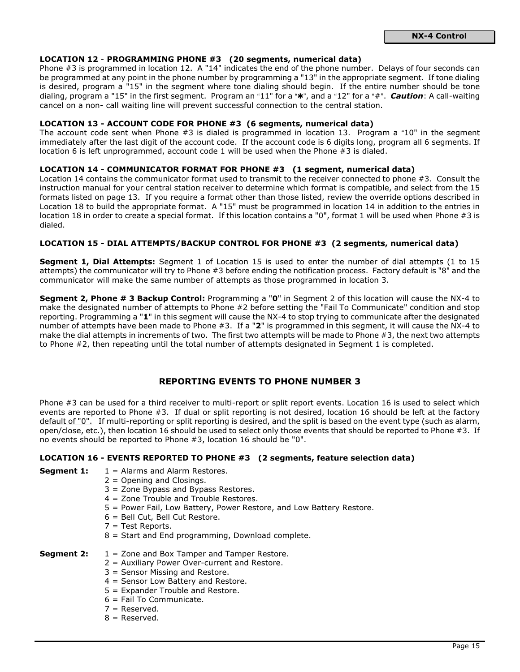#### LOCATION 12 - PROGRAMMING PHONE #3 (20 segments, numerical data)

Phone #3 is programmed in location 12. A "14" indicates the end of the phone number. Delays of four seconds can be programmed at any point in the phone number by programming a "13" in the appropriate segment. If tone dialing is desired, program a "15" in the segment where tone dialing should begin. If the entire number should be tone dialing, program a "15" in the first segment. Program an "11" for a " $\star$ ", and a "12" for a " $\sharp$ ". **Caution**: A call-waiting cancel on a non- call waiting line will prevent successful connection to the central station.

## LOCATION 13 - ACCOUNT CODE FOR PHONE #3 (6 segments, numerical data)

The account code sent when Phone  $#3$  is dialed is programmed in location 13. Program a "10" in the segment immediately after the last digit of the account code. If the account code is 6 digits long, program all 6 segments. If location 6 is left unprogrammed, account code 1 will be used when the Phone #3 is dialed.

#### LOCATION 14 - COMMUNICATOR FORMAT FOR PHONE #3 (1 segment, numerical data)

Location 14 contains the communicator format used to transmit to the receiver connected to phone #3. Consult the instruction manual for your central station receiver to determine which format is compatible, and select from the 15 formats listed on page 13. If you require a format other than those listed, review the override options described in Location 18 to build the appropriate format. A "15" must be programmed in location 14 in addition to the entries in location 18 in order to create a special format. If this location contains a "0", format 1 will be used when Phone #3 is dialed.

#### LOCATION 15 - DIAL ATTEMPTS/BACKUP CONTROL FOR PHONE #3 (2 segments, numerical data)

Segment 1, Dial Attempts: Segment 1 of Location 15 is used to enter the number of dial attempts (1 to 15 attempts) the communicator will try to Phone #3 before ending the notification process. Factory default is "8" and the communicator will make the same number of attempts as those programmed in location 3.

Segment 2, Phone # 3 Backup Control: Programming a "0" in Segment 2 of this location will cause the NX-4 to make the designated number of attempts to Phone #2 before setting the "Fail To Communicate" condition and stop reporting. Programming a "1" in this segment will cause the NX-4 to stop trying to communicate after the designated number of attempts have been made to Phone #3. If a "2" is programmed in this segment, it will cause the NX-4 to make the dial attempts in increments of two. The first two attempts will be made to Phone #3, the next two attempts to Phone #2, then repeating until the total number of attempts designated in Segment 1 is completed.

## REPORTING EVENTS TO PHONE NUMBER 3

Phone #3 can be used for a third receiver to multi-report or split report events. Location 16 is used to select which events are reported to Phone #3. If dual or split reporting is not desired, location 16 should be left at the factory default of "0". If multi-reporting or split reporting is desired, and the split is based on the event type (such as alarm, open/close, etc.), then location 16 should be used to select only those events that should be reported to Phone #3. If no events should be reported to Phone #3, location 16 should be "0".

## LOCATION 16 - EVENTS REPORTED TO PHONE #3 (2 segments, feature selection data)

- **Segment 1:**  $1 =$  Alarms and Alarm Restores.
	- 2 = Opening and Closings.
	- 3 = Zone Bypass and Bypass Restores.
	- 4 = Zone Trouble and Trouble Restores.
	- 5 = Power Fail, Low Battery, Power Restore, and Low Battery Restore.
	- 6 = Bell Cut, Bell Cut Restore.
	- 7 = Test Reports.
	- 8 = Start and End programming, Download complete.

## **Segment 2:**  $1 =$  Zone and Box Tamper and Tamper Restore.

- 2 = Auxiliary Power Over-current and Restore.
- 3 = Sensor Missing and Restore.
- 4 = Sensor Low Battery and Restore.
- 5 = Expander Trouble and Restore.
- 6 = Fail To Communicate.
- 7 = Reserved.
- $8 =$  Reserved.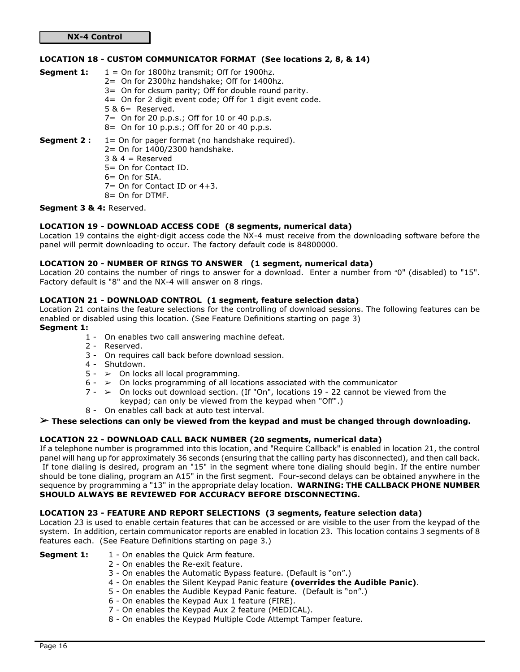## LOCATION 18 - CUSTOM COMMUNICATOR FORMAT (See locations 2, 8, & 14)

- **Segment 1:**  $1 = 0n$  for 1800hz transmit; Off for 1900hz. 2= On for 2300hz handshake; Off for 1400hz. 3= On for cksum parity; Off for double round parity. 4= On for 2 digit event code; Off for 1 digit event code. 5 & 6= Reserved. 7= On for 20 p.p.s.; Off for 10 or 40 p.p.s. 8= On for 10 p.p.s.; Off for 20 or 40 p.p.s. **Segment 2 :**  $1 =$  On for pager format (no handshake required). 2= On for 1400/2300 handshake.  $3 & 4 =$  Reserved 5= On for Contact ID. 6= On for SIA.
	- 7= On for Contact ID or 4+3. 8= On for DTMF.

## Segment 3 & 4: Reserved.

### LOCATION 19 - DOWNLOAD ACCESS CODE (8 segments, numerical data)

Location 19 contains the eight-digit access code the NX-4 must receive from the downloading software before the panel will permit downloading to occur. The factory default code is 84800000.

#### LOCATION 20 - NUMBER OF RINGS TO ANSWER (1 segment, numerical data)

Location 20 contains the number of rings to answer for a download. Enter a number from "0" (disabled) to "15". Factory default is "8" and the NX-4 will answer on 8 rings.

### LOCATION 21 - DOWNLOAD CONTROL (1 segment, feature selection data)

Location 21 contains the feature selections for the controlling of download sessions. The following features can be enabled or disabled using this location. (See Feature Definitions starting on page 3)

## Segment 1:

- 1 On enables two call answering machine defeat.
- 2 Reserved.
- 3 On requires call back before download session.
- 4 Shutdown.
- $5 \gt 0$ n locks all local programming.
- $6 \geq 0$ n locks programming of all locations associated with the communicator
- $7 \ge 0$ n locks out download section. (If "On", locations 19 22 cannot be viewed from the keypad; can only be viewed from the keypad when "Off".)
- 8 On enables call back at auto test interval.

# *%* These selections can only be viewed from the keypad and must be changed through downloading.

## LOCATION 22 - DOWNLOAD CALL BACK NUMBER (20 segments, numerical data)

If a telephone number is programmed into this location, and "Require Callback" is enabled in location 21, the control panel will hang up for approximately 36 seconds (ensuring that the calling party has disconnected), and then call back. If tone dialing is desired, program an "15" in the segment where tone dialing should begin. If the entire number should be tone dialing, program an A15" in the first segment. Four-second delays can be obtained anywhere in the sequence by programming a "13" in the appropriate delay location. WARNING: THE CALLBACK PHONE NUMBER SHOULD ALWAYS BE REVIEWED FOR ACCURACY BEFORE DISCONNECTING.

#### LOCATION 23 - FEATURE AND REPORT SELECTIONS (3 segments, feature selection data)

Location 23 is used to enable certain features that can be accessed or are visible to the user from the keypad of the system. In addition, certain communicator reports are enabled in location 23. This location contains 3 segments of 8 features each. (See Feature Definitions starting on page 3.)

- **Segment 1:** 1 On enables the Quick Arm feature.
	- 2 On enables the Re-exit feature.
	- 3 On enables the Automatic Bypass feature. (Default is "on".)
	- 4 On enables the Silent Keypad Panic feature (overrides the Audible Panic).
	- 5 On enables the Audible Keypad Panic feature. (Default is "on".)
	- 6 On enables the Keypad Aux 1 feature (FIRE).
	- 7 On enables the Keypad Aux 2 feature (MEDICAL).
	- 8 On enables the Keypad Multiple Code Attempt Tamper feature.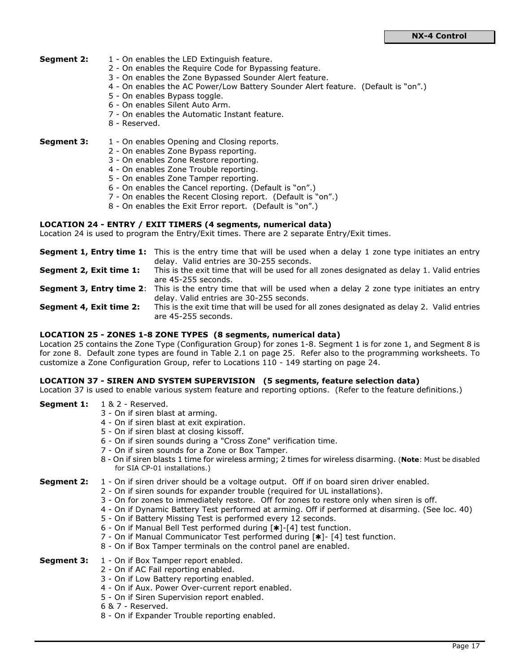- **Segment 2:** 1 On enables the LED Extinguish feature.
	- 2 On enables the Require Code for Bypassing feature.
	- 3 On enables the Zone Bypassed Sounder Alert feature.
	- 4 On enables the AC Power/Low Battery Sounder Alert feature. (Default is "on".)
	- 5 On enables Bypass toggle.
	- 6 On enables Silent Auto Arm.
	- 7 On enables the Automatic Instant feature.
	- 8 Reserved.

**Segment 3:** 1 - On enables Opening and Closing reports.

- 2 On enables Zone Bypass reporting.
- 3 On enables Zone Restore reporting.
- 4 On enables Zone Trouble reporting.
- 5 On enables Zone Tamper reporting.
- 6 On enables the Cancel reporting. (Default is "on".)
- 7 On enables the Recent Closing report. (Default is "on".)
- 8 On enables the Exit Error report. (Default is "on".)

#### LOCATION 24 - ENTRY / EXIT TIMERS (4 segments, numerical data)

Location 24 is used to program the Entry/Exit times. There are 2 separate Entry/Exit times.

|                         | <b>Segment 1, Entry time 1:</b> This is the entry time that will be used when a delay 1 zone type initiates an entry  |
|-------------------------|-----------------------------------------------------------------------------------------------------------------------|
|                         | delay. Valid entries are 30-255 seconds.                                                                              |
| Segment 2, Exit time 1: | This is the exit time that will be used for all zones designated as delay 1. Valid entries                            |
|                         | are 45-255 seconds.                                                                                                   |
|                         | <b>Segment 3, Entry time 2</b> : This is the entry time that will be used when a delay 2 zone type initiates an entry |
|                         | delay. Valid entries are 30-255 seconds.                                                                              |
| Segment 4, Exit time 2: | This is the exit time that will be used for all zones designated as delay 2. Valid entries                            |
|                         | are 45-255 seconds.                                                                                                   |

#### LOCATION 25 - ZONES 1-8 ZONE TYPES (8 segments, numerical data)

Location 25 contains the Zone Type (Configuration Group) for zones 1-8. Segment 1 is for zone 1, and Segment 8 is for zone 8. Default zone types are found in Table 2.1 on page 25. Refer also to the programming worksheets. To customize a Zone Configuration Group, refer to Locations 110 - 149 starting on page 24.

#### LOCATION 37 - SIREN AND SYSTEM SUPERVISION (5 segments, feature selection data)

Location 37 is used to enable various system feature and reporting options. (Refer to the feature definitions.)

- Segment 1: 1 & 2 Reserved.
	- 3 On if siren blast at arming.
	- 4 On if siren blast at exit expiration.
	- 5 On if siren blast at closing kissoff.
	- 6 On if siren sounds during a "Cross Zone" verification time.
	- 7 On if siren sounds for a Zone or Box Tamper.
	- 8 On if siren blasts 1 time for wireless arming; 2 times for wireless disarming. (Note: Must be disabled for SIA CP-01 installations.)

#### **Segment 2:** 1 - On if siren driver should be a voltage output. Off if on board siren driver enabled.

- 2 On if siren sounds for expander trouble (required for UL installations).
- 3 On for zones to immediately restore. Off for zones to restore only when siren is off.
- 4 On if Dynamic Battery Test performed at arming. Off if performed at disarming. (See loc. 40)
- 5 On if Battery Missing Test is performed every 12 seconds.
- 6 On if Manual Bell Test performed during  $[*]$ -[4] test function.
- 7 On if Manual Communicator Test performed during [\*]- [4] test function.
- 8 On if Box Tamper terminals on the control panel are enabled.
- **Segment 3:** 1 On if Box Tamper report enabled.
	- 2 On if AC Fail reporting enabled.
		- 3 On if Low Battery reporting enabled.
		- 4 On if Aux. Power Over-current report enabled.
		- 5 On if Siren Supervision report enabled.
		- 6 & 7 Reserved.
		- 8 On if Expander Trouble reporting enabled.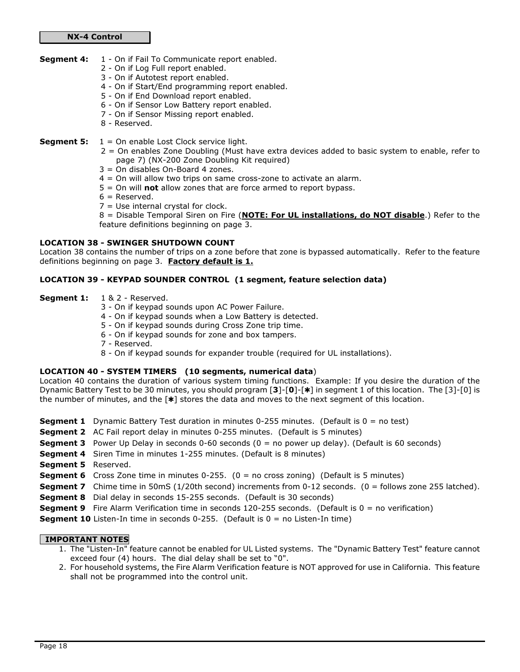#### Segment 4: 1 - On if Fail To Communicate report enabled.

- 2 On if Log Full report enabled.
	- 3 On if Autotest report enabled.
	- 4 On if Start/End programming report enabled.
	- 5 On if End Download report enabled.
	- 6 On if Sensor Low Battery report enabled.
	- 7 On if Sensor Missing report enabled.
	- 8 Reserved.

**Segment 5:**  $1 =$  On enable Lost Clock service light.

- 2 = On enables Zone Doubling (Must have extra devices added to basic system to enable, refer to page 7) (NX-200 Zone Doubling Kit required)
- 3 = On disables On-Board 4 zones.
- 4 = On will allow two trips on same cross-zone to activate an alarm.
- $5 =$  On will **not** allow zones that are force armed to report bypass.
- $6 =$  Reserved.
- $7 =$  Use internal crystal for clock.

8 = Disable Temporal Siren on Fire (NOTE: For UL installations, do NOT disable.) Refer to the feature definitions beginning on page 3.

## LOCATION 38 - SWINGER SHUTDOWN COUNT

Location 38 contains the number of trips on a zone before that zone is bypassed automatically. Refer to the feature definitions beginning on page 3. Factory default is 1.

## LOCATION 39 - KEYPAD SOUNDER CONTROL (1 segment, feature selection data)

- Segment 1: 1 & 2 Reserved.
	- 3 On if keypad sounds upon AC Power Failure.
	- 4 On if keypad sounds when a Low Battery is detected.
	- 5 On if keypad sounds during Cross Zone trip time.
	- 6 On if keypad sounds for zone and box tampers.
	- 7 Reserved.
	- 8 On if keypad sounds for expander trouble (required for UL installations).

## LOCATION 40 - SYSTEM TIMERS (10 segments, numerical data)

Location 40 contains the duration of various system timing functions. Example: If you desire the duration of the Dynamic Battery Test to be 30 minutes, you should program  $[3]$ - $[0]$ - $[*]$  in segment 1 of this location. The  $[3]$ - $[0]$  is the number of minutes, and the  $[\ast]$  stores the data and moves to the next segment of this location.

- **Segment 1** Dynamic Battery Test duration in minutes 0-255 minutes. (Default is  $0 =$  no test)
- **Segment 2** AC Fail report delay in minutes 0-255 minutes. (Default is 5 minutes)
- **Segment 3** Power Up Delay in seconds  $0-60$  seconds  $(0 = no power up delay)$ . (Default is 60 seconds)
- **Segment 4** Siren Time in minutes 1-255 minutes. (Default is 8 minutes)
- Segment 5 Reserved.
- **Segment 6** Cross Zone time in minutes 0-255.  $(0 = no cross zoning)$  (Default is 5 minutes)
- **Segment 7** Chime time in 50mS (1/20th second) increments from 0-12 seconds. (0 = follows zone 255 latched).
- **Segment 8** Dial delay in seconds 15-255 seconds. (Default is 30 seconds)
- **Segment 9** Fire Alarm Verification time in seconds 120-255 seconds. (Default is  $0 =$  no verification)
- **Segment 10** Listen-In time in seconds  $0-255$ . (Default is  $0 =$  no Listen-In time)

## IMPORTANT NOTES

- 1. The "Listen-In" feature cannot be enabled for UL Listed systems. The "Dynamic Battery Test" feature cannot exceed four (4) hours. The dial delay shall be set to "0".
- 2. For household systems, the Fire Alarm Verification feature is NOT approved for use in California. This feature shall not be programmed into the control unit.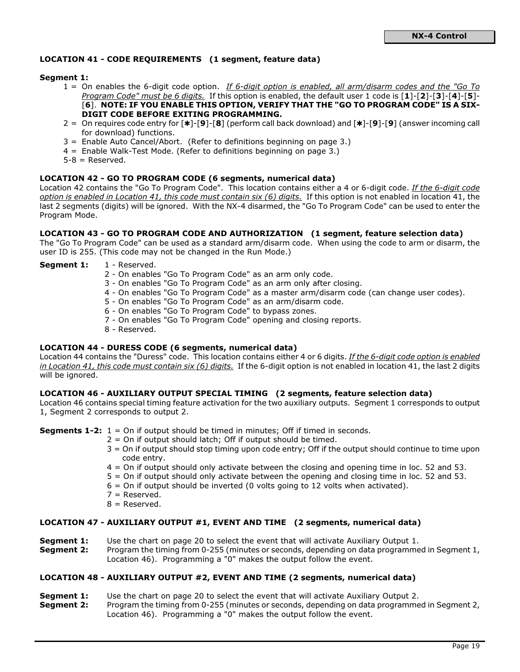## LOCATION 41 - CODE REQUIREMENTS (1 segment, feature data)

### Segment 1:

- 1 = On enables the 6-digit code option. If 6-digit option is enabled, all arm/disarm codes and the "Go To" Program Code" must be 6 digits. If this option is enabled, the default user 1 code is  $[1]-[2]-[3]-[4]-[5]-$ [6]. NOTE: IF YOU ENABLE THIS OPTION, VERIFY THAT THE "GO TO PROGRAM CODE" IS A SIX-DIGIT CODE BEFORE EXITING PROGRAMMING.
- 2 = On requires code entry for  $[*]$ -[9]-[8] (perform call back download) and  $[*]$ -[9]-[9] (answer incoming call for download) functions.
- 3 = Enable Auto Cancel/Abort. (Refer to definitions beginning on page 3.)
- 4 = Enable Walk-Test Mode. (Refer to definitions beginning on page 3.)
- $5-8$  = Reserved.

### LOCATION 42 - GO TO PROGRAM CODE (6 segments, numerical data)

Location 42 contains the "Go To Program Code". This location contains either a 4 or 6-digit code. If the 6-digit code option is enabled in Location 41, this code must contain  $six$  (6) digits. If this option is not enabled in location 41, the last 2 segments (digits) will be ignored. With the NX-4 disarmed, the "Go To Program Code" can be used to enter the Program Mode.

#### LOCATION 43 - GO TO PROGRAM CODE AND AUTHORIZATION (1 segment, feature selection data)

The "Go To Program Code" can be used as a standard arm/disarm code. When using the code to arm or disarm, the user ID is 255. (This code may not be changed in the Run Mode.)

#### Segment 1: 1 - Reserved.

- 2 On enables "Go To Program Code" as an arm only code.
- 3 On enables "Go To Program Code" as an arm only after closing.
- 4 On enables "Go To Program Code" as a master arm/disarm code (can change user codes).
- 5 On enables "Go To Program Code" as an arm/disarm code.
- 6 On enables "Go To Program Code" to bypass zones.
- 7 On enables "Go To Program Code" opening and closing reports.
- 8 Reserved.

#### LOCATION 44 - DURESS CODE (6 segments, numerical data)

Location 44 contains the "Duress" code. This location contains either 4 or 6 digits. If the 6-digit code option is enabled in Location 41, this code must contain six (6) digits. If the 6-digit option is not enabled in location 41, the last 2 digits will be ignored.

### LOCATION 46 - AUXILIARY OUTPUT SPECIAL TIMING (2 segments, feature selection data)

Location 46 contains special timing feature activation for the two auxiliary outputs. Segment 1 corresponds to output 1, Segment 2 corresponds to output 2.

**Segments 1-2:**  $1 =$  On if output should be timed in minutes; Off if timed in seconds.

- $2 =$  On if output should latch; Off if output should be timed.
- 3 = On if output should stop timing upon code entry; Off if the output should continue to time upon code entry.
- 4 = On if output should only activate between the closing and opening time in loc. 52 and 53.
- 5 = On if output should only activate between the opening and closing time in loc. 52 and 53.
- $6 =$  On if output should be inverted (0 volts going to 12 volts when activated).
- 7 = Reserved.
- $8 =$  Reserved.

## LOCATION 47 - AUXILIARY OUTPUT #1, EVENT AND TIME (2 segments, numerical data)

- **Segment 1:** Use the chart on page 20 to select the event that will activate Auxiliary Output 1.
- **Segment 2:** Program the timing from 0-255 (minutes or seconds, depending on data programmed in Segment 1, Location 46). Programming a "0" makes the output follow the event.

#### LOCATION 48 - AUXILIARY OUTPUT #2, EVENT AND TIME (2 segments, numerical data)

- **Segment 1:** Use the chart on page 20 to select the event that will activate Auxiliary Output 2.
- **Segment 2:** Program the timing from 0-255 (minutes or seconds, depending on data programmed in Segment 2, Location 46). Programming a "0" makes the output follow the event.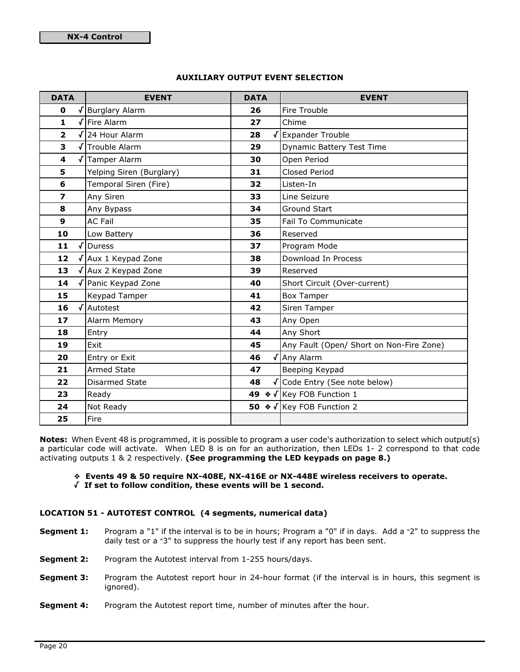## AUXILIARY OUTPUT EVENT SELECTION

| <b>DATA</b>             |            | <b>EVENT</b>                 | <b>DATA</b> |                           | <b>EVENT</b>                                 |  |
|-------------------------|------------|------------------------------|-------------|---------------------------|----------------------------------------------|--|
| $\mathbf 0$             |            | <b>Burglary Alarm</b>        | 26          |                           | Fire Trouble                                 |  |
| 1                       |            | Fire Alarm                   | 27          |                           | Chime                                        |  |
| $\overline{\mathbf{2}}$ |            | √ 24 Hour Alarm              | 28          |                           | √ Expander Trouble                           |  |
| 3                       |            | Trouble Alarm                | 29          |                           | Dynamic Battery Test Time                    |  |
| $\overline{\mathbf{4}}$ |            | √Tamper Alarm                | 30          |                           | Open Period                                  |  |
| 5                       |            | Yelping Siren (Burglary)     | 31          |                           | <b>Closed Period</b>                         |  |
| 6                       |            | Temporal Siren (Fire)        | 32          |                           | Listen-In                                    |  |
| $\overline{\mathbf{z}}$ |            | Any Siren                    | 33          |                           | Line Seizure                                 |  |
| 8                       |            | Any Bypass                   | 34          |                           | Ground Start                                 |  |
| 9                       |            | <b>AC Fail</b>               | 35          |                           | Fail To Communicate                          |  |
| 10                      |            | Low Battery                  | 36          |                           | Reserved                                     |  |
| 11                      | $\sqrt{ }$ | Duress                       |             | 37<br>Program Mode        |                                              |  |
| 12                      |            | √ Aux 1 Keypad Zone          |             | Download In Process<br>38 |                                              |  |
| 13                      |            | $\sqrt{\}$ Aux 2 Keypad Zone | 39          |                           | Reserved                                     |  |
| 14                      |            | √ Panic Keypad Zone          | 40          |                           | Short Circuit (Over-current)                 |  |
| 15                      |            | <b>Keypad Tamper</b>         | 41          |                           | <b>Box Tamper</b>                            |  |
| 16                      | √          | Autotest                     | 42          |                           | Siren Tamper                                 |  |
| 17                      |            | Alarm Memory                 | 43          |                           | Any Open                                     |  |
| 18                      |            | Entry                        | 44          |                           | Any Short                                    |  |
| 19                      |            | Exit                         | 45          |                           | Any Fault (Open/ Short on Non-Fire Zone)     |  |
| 20                      |            | Entry or Exit                | 46          |                           | √ Any Alarm                                  |  |
| 21                      |            | <b>Armed State</b>           | 47          |                           | Beeping Keypad                               |  |
| 22                      |            | Disarmed State               | 48          |                           | √ Code Entry (See note below)                |  |
| 23                      |            | Ready                        |             |                           | 49 $\bullet\sqrt{\text{Key FOB Function 1}}$ |  |
| 24                      |            | Not Ready                    |             |                           | 50 ◆ √ Key FOB Function 2                    |  |
| 25                      |            | Fire                         |             |                           |                                              |  |

Notes: When Event 48 is programmed, it is possible to program a user code's authorization to select which output(s) a particular code will activate. When LED 8 is on for an authorization, then LEDs 1- 2 correspond to that code activating outputs 1 & 2 respectively. (See programming the LED keypads on page 8.)

## ˜ Events 49 & 50 require NX-408E, NX-416E or NX-448E wireless receivers to operate.

/ If set to follow condition, these events will be 1 second.

## LOCATION 51 - AUTOTEST CONTROL (4 segments, numerical data)

- Segment 1: Program a "1" if the interval is to be in hours; Program a "0" if in days. Add a "2" to suppress the daily test or a "3" to suppress the hourly test if any report has been sent.
- Segment 2: Program the Autotest interval from 1-255 hours/days.
- **Segment 3:** Program the Autotest report hour in 24-hour format (if the interval is in hours, this segment is ignored).
- **Segment 4:** Program the Autotest report time, number of minutes after the hour.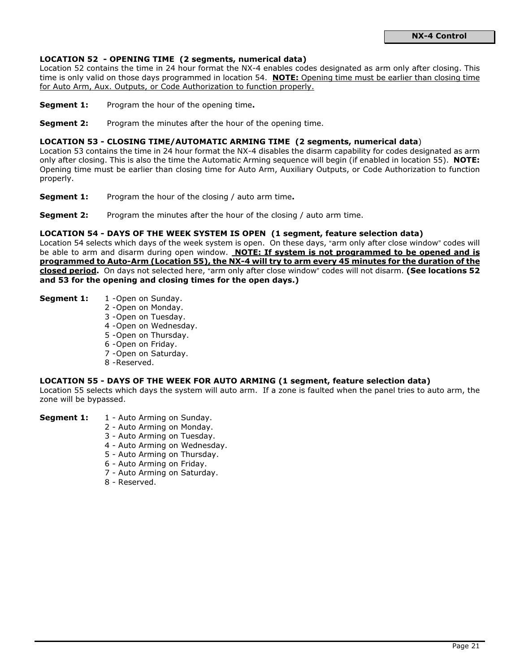## LOCATION 52 - OPENING TIME (2 segments, numerical data)

Location 52 contains the time in 24 hour format the NX-4 enables codes designated as arm only after closing. This time is only valid on those days programmed in location 54. NOTE: Opening time must be earlier than closing time for Auto Arm, Aux. Outputs, or Code Authorization to function properly.

- **Segment 1:** Program the hour of the opening time.
- **Segment 2:** Program the minutes after the hour of the opening time.

### LOCATION 53 - CLOSING TIME/AUTOMATIC ARMING TIME (2 segments, numerical data)

Location 53 contains the time in 24 hour format the NX-4 disables the disarm capability for codes designated as arm only after closing. This is also the time the Automatic Arming sequence will begin (if enabled in location 55). NOTE: Opening time must be earlier than closing time for Auto Arm, Auxiliary Outputs, or Code Authorization to function properly.

- **Segment 1:** Program the hour of the closing / auto arm time.
- **Segment 2:** Program the minutes after the hour of the closing / auto arm time.

#### LOCATION 54 - DAYS OF THE WEEK SYSTEM IS OPEN (1 segment, feature selection data)

Location 54 selects which days of the week system is open. On these days, "arm only after close window" codes will be able to arm and disarm during open window. NOTE: If system is not programmed to be opened and is programmed to Auto-Arm (Location 55), the NX-4 will try to arm every 45 minutes for the duration of the closed period. On days not selected here, "arm only after close window" codes will not disarm. (See locations 52 and 53 for the opening and closing times for the open days.)

- Segment 1: 1 Open on Sunday.
	- 2 Open on Monday.
	- 3 Open on Tuesday.
	- 4 Open on Wednesday.
	- 5 Open on Thursday.
	- 6 Open on Friday.
	- 7 Open on Saturday.
	- 8 Reserved.

#### LOCATION 55 - DAYS OF THE WEEK FOR AUTO ARMING (1 segment, feature selection data)

Location 55 selects which days the system will auto arm. If a zone is faulted when the panel tries to auto arm, the zone will be bypassed.

- **Segment 1:** 1 Auto Arming on Sunday.
	- 2 Auto Arming on Monday.
	- 3 Auto Arming on Tuesday.
	- 4 Auto Arming on Wednesday.
	- 5 Auto Arming on Thursday.
	- 6 Auto Arming on Friday.
	- 7 Auto Arming on Saturday.
	- 8 Reserved.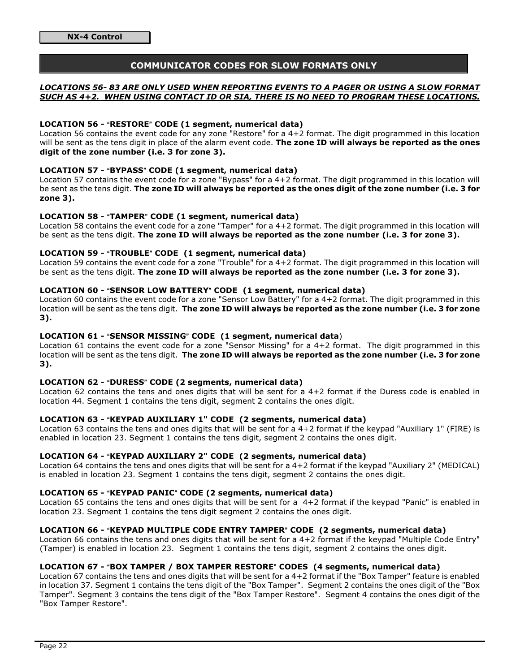## COMMUNICATOR CODES FOR SLOW FORMATS ONLY

## LOCATIONS 56- 83 ARE ONLY USED WHEN REPORTING EVENTS TO A PAGER OR USING A SLOW FORMAT SUCH AS 4+2. WHEN USING CONTACT ID OR SIA, THERE IS NO NEED TO PROGRAM THESE LOCATIONS.

### LOCATION 56 - "RESTORE" CODE (1 segment, numerical data)

Location 56 contains the event code for any zone "Restore" for a 4+2 format. The digit programmed in this location will be sent as the tens digit in place of the alarm event code. The zone ID will always be reported as the ones digit of the zone number (i.e. 3 for zone 3).

### LOCATION 57 - "BYPASS" CODE (1 segment, numerical data)

Location 57 contains the event code for a zone "Bypass" for a 4+2 format. The digit programmed in this location will be sent as the tens digit. The zone ID will always be reported as the ones digit of the zone number (i.e. 3 for zone 3).

### LOCATION 58 - "TAMPER" CODE (1 segment, numerical data)

Location 58 contains the event code for a zone "Tamper" for a 4+2 format. The digit programmed in this location will be sent as the tens digit. The zone ID will always be reported as the zone number (i.e. 3 for zone 3).

## LOCATION 59 - "TROUBLE" CODE (1 segment, numerical data)

Location 59 contains the event code for a zone "Trouble" for a 4+2 format. The digit programmed in this location will be sent as the tens digit. The zone ID will always be reported as the zone number (i.e. 3 for zone 3).

## LOCATION 60 - "SENSOR LOW BATTERY" CODE (1 segment, numerical data)

Location 60 contains the event code for a zone "Sensor Low Battery" for a 4+2 format. The digit programmed in this location will be sent as the tens digit. The zone ID will always be reported as the zone number (i.e. 3 for zone 3).

#### LOCATION 61 - "SENSOR MISSING" CODE (1 segment, numerical data)

Location 61 contains the event code for a zone "Sensor Missing" for a 4+2 format. The digit programmed in this location will be sent as the tens digit. The zone ID will always be reported as the zone number (i.e. 3 for zone 3).

### LOCATION 62 - "DURESS" CODE (2 segments, numerical data)

Location 62 contains the tens and ones digits that will be sent for a 4+2 format if the Duress code is enabled in location 44. Segment 1 contains the tens digit, segment 2 contains the ones digit.

#### LOCATION 63 - "KEYPAD AUXILIARY 1" CODE (2 segments, numerical data)

Location 63 contains the tens and ones digits that will be sent for a 4+2 format if the keypad "Auxiliary 1" (FIRE) is enabled in location 23. Segment 1 contains the tens digit, segment 2 contains the ones digit.

## LOCATION 64 - "KEYPAD AUXILIARY 2" CODE (2 segments, numerical data)

Location 64 contains the tens and ones digits that will be sent for a 4+2 format if the keypad "Auxiliary 2" (MEDICAL) is enabled in location 23. Segment 1 contains the tens digit, segment 2 contains the ones digit.

#### LOCATION 65 - "KEYPAD PANIC" CODE (2 segments, numerical data)

Location 65 contains the tens and ones digits that will be sent for a 4+2 format if the keypad "Panic" is enabled in location 23. Segment 1 contains the tens digit segment 2 contains the ones digit.

#### LOCATION 66 - "KEYPAD MULTIPLE CODE ENTRY TAMPER" CODE (2 segments, numerical data)

Location 66 contains the tens and ones digits that will be sent for a 4+2 format if the keypad "Multiple Code Entry" (Tamper) is enabled in location 23. Segment 1 contains the tens digit, segment 2 contains the ones digit.

#### LOCATION 67 - "BOX TAMPER / BOX TAMPER RESTORE" CODES (4 segments, numerical data)

Location 67 contains the tens and ones digits that will be sent for a 4+2 format if the "Box Tamper" feature is enabled in location 37. Segment 1 contains the tens digit of the "Box Tamper". Segment 2 contains the ones digit of the "Box Tamper". Segment 3 contains the tens digit of the "Box Tamper Restore". Segment 4 contains the ones digit of the "Box Tamper Restore".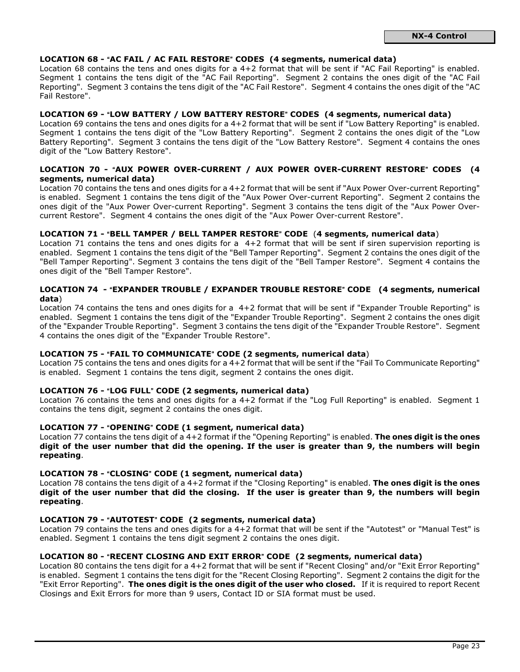### LOCATION 68 - "AC FAIL / AC FAIL RESTORE" CODES (4 segments, numerical data)

Location 68 contains the tens and ones digits for a 4+2 format that will be sent if "AC Fail Reporting" is enabled. Segment 1 contains the tens digit of the "AC Fail Reporting". Segment 2 contains the ones digit of the "AC Fail Reporting". Segment 3 contains the tens digit of the "AC Fail Restore". Segment 4 contains the ones digit of the "AC Fail Restore".

#### LOCATION 69 - "LOW BATTERY / LOW BATTERY RESTORE" CODES (4 segments, numerical data)

Location 69 contains the tens and ones digits for a 4+2 format that will be sent if "Low Battery Reporting" is enabled. Seament 1 contains the tens digit of the "Low Battery Reporting". Segment 2 contains the ones digit of the "Low Battery Reporting". Segment 3 contains the tens digit of the "Low Battery Restore". Segment 4 contains the ones digit of the "Low Battery Restore".

#### LOCATION 70 - "AUX POWER OVER-CURRENT / AUX POWER OVER-CURRENT RESTORE" CODES (4 segments, numerical data)

Location 70 contains the tens and ones digits for a 4+2 format that will be sent if "Aux Power Over-current Reporting" is enabled. Segment 1 contains the tens digit of the "Aux Power Over-current Reporting". Segment 2 contains the ones digit of the "Aux Power Over-current Reporting". Segment 3 contains the tens digit of the "Aux Power Overcurrent Restore". Segment 4 contains the ones digit of the "Aux Power Over-current Restore".

#### LOCATION 71 - "BELL TAMPER / BELL TAMPER RESTORE" CODE (4 segments, numerical data)

Location 71 contains the tens and ones digits for a 4+2 format that will be sent if siren supervision reporting is enabled. Segment 1 contains the tens digit of the "Bell Tamper Reporting". Segment 2 contains the ones digit of the "Bell Tamper Reporting". Segment 3 contains the tens digit of the "Bell Tamper Restore". Segment 4 contains the ones digit of the "Bell Tamper Restore".

## LOCATION 74 - "EXPANDER TROUBLE / EXPANDER TROUBLE RESTORE" CODE (4 segments, numerical data)

Location 74 contains the tens and ones digits for a 4+2 format that will be sent if "Expander Trouble Reporting" is enabled. Segment 1 contains the tens digit of the "Expander Trouble Reporting". Segment 2 contains the ones digit of the "Expander Trouble Reporting". Segment 3 contains the tens digit of the "Expander Trouble Restore". Segment 4 contains the ones digit of the "Expander Trouble Restore".

#### LOCATION 75 - "FAIL TO COMMUNICATE" CODE (2 segments, numerical data)

Location 75 contains the tens and ones digits for a 4+2 format that will be sent if the "Fail To Communicate Reporting" is enabled. Segment 1 contains the tens digit, segment 2 contains the ones digit.

#### LOCATION 76 - "LOG FULL" CODE (2 segments, numerical data)

Location 76 contains the tens and ones digits for a 4+2 format if the "Log Full Reporting" is enabled. Segment 1 contains the tens digit, segment 2 contains the ones digit.

#### LOCATION 77 - "OPENING" CODE (1 segment, numerical data)

Location 77 contains the tens digit of a 4+2 format if the "Opening Reporting" is enabled. The ones digit is the ones digit of the user number that did the opening. If the user is greater than 9, the numbers will begin repeating.

#### LOCATION 78 - "CLOSING" CODE (1 segment, numerical data)

Location 78 contains the tens digit of a 4+2 format if the "Closing Reporting" is enabled. The ones digit is the ones digit of the user number that did the closing. If the user is greater than 9, the numbers will begin repeating.

#### LOCATION 79 - "AUTOTEST" CODE (2 segments, numerical data)

Location 79 contains the tens and ones digits for a 4+2 format that will be sent if the "Autotest" or "Manual Test" is enabled. Segment 1 contains the tens digit segment 2 contains the ones digit.

#### LOCATION 80 - "RECENT CLOSING AND EXIT ERROR" CODE (2 segments, numerical data)

Location 80 contains the tens digit for a 4+2 format that will be sent if "Recent Closing" and/or "Exit Error Reporting" is enabled. Segment 1 contains the tens digit for the "Recent Closing Reporting". Segment 2 contains the digit for the "Exit Error Reporting". The ones digit is the ones digit of the user who closed. If it is required to report Recent Closings and Exit Errors for more than 9 users, Contact ID or SIA format must be used.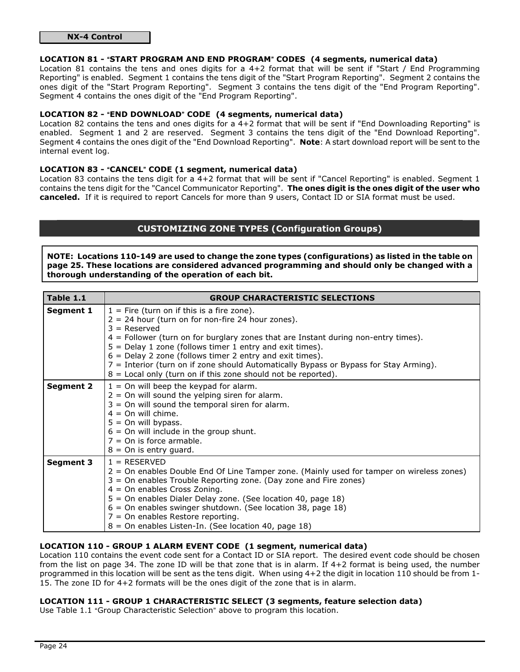## NX-4 Control

#### LOCATION 81 - "START PROGRAM AND END PROGRAM" CODES (4 segments, numerical data)

Location 81 contains the tens and ones digits for a 4+2 format that will be sent if "Start / End Programming Reporting" is enabled. Segment 1 contains the tens digit of the "Start Program Reporting". Segment 2 contains the ones digit of the "Start Program Reporting". Segment 3 contains the tens digit of the "End Program Reporting". Segment 4 contains the ones digit of the "End Program Reporting".

### LOCATION 82 - "END DOWNLOAD" CODE (4 segments, numerical data)

Location 82 contains the tens and ones digits for a 4+2 format that will be sent if "End Downloading Reporting" is enabled. Segment 1 and 2 are reserved. Segment 3 contains the tens digit of the "End Download Reporting". Segment 4 contains the ones digit of the "End Download Reporting". Note: A start download report will be sent to the internal event log.

#### LOCATION 83 - "CANCEL" CODE (1 segment, numerical data)

Location 83 contains the tens digit for a 4+2 format that will be sent if "Cancel Reporting" is enabled. Segment 1 contains the tens digit for the "Cancel Communicator Reporting". The ones digit is the ones digit of the user who canceled. If it is required to report Cancels for more than 9 users, Contact ID or SIA format must be used.

## CUSTOMIZING ZONE TYPES (Configuration Groups)

NOTE: Locations 110-149 are used to change the zone types (configurations) as listed in the table on page 25. These locations are considered advanced programming and should only be changed with a thorough understanding of the operation of each bit.

| Table 1.1        | <b>GROUP CHARACTERISTIC SELECTIONS</b>                                                                                                                                                                                                                                                                                                                                                                                                                                                                |
|------------------|-------------------------------------------------------------------------------------------------------------------------------------------------------------------------------------------------------------------------------------------------------------------------------------------------------------------------------------------------------------------------------------------------------------------------------------------------------------------------------------------------------|
| Segment 1        | $1 =$ Fire (turn on if this is a fire zone).<br>$2 = 24$ hour (turn on for non-fire 24 hour zones).<br>$3 =$ Reserved<br>$4$ = Follower (turn on for burglary zones that are Instant during non-entry times).<br>$5 =$ Delay 1 zone (follows timer 1 entry and exit times).<br>$6$ = Delay 2 zone (follows timer 2 entry and exit times).<br>7 = Interior (turn on if zone should Automatically Bypass or Bypass for Stay Arming).<br>$8$ = Local only (turn on if this zone should not be reported). |
| <b>Segment 2</b> | $1 =$ On will beep the keypad for alarm.<br>$2 =$ On will sound the yelping siren for alarm.<br>$3 =$ On will sound the temporal siren for alarm.<br>$4 =$ On will chime.<br>$5 =$ On will bypass.<br>$6 =$ On will include in the group shunt.<br>$7 =$ On is force armable.<br>$8 =$ On is entry guard.                                                                                                                                                                                             |
| <b>Segment 3</b> | $1 = RESERVED$<br>2 = On enables Double End Of Line Tamper zone. (Mainly used for tamper on wireless zones)<br>3 = On enables Trouble Reporting zone. (Day zone and Fire zones)<br>$4 =$ On enables Cross Zoning.<br>5 = On enables Dialer Delay zone. (See location 40, page 18)<br>$6 =$ On enables swinger shutdown. (See location 38, page 18)<br>$7 =$ On enables Restore reporting.<br>8 = On enables Listen-In. (See location 40, page 18)                                                     |

## LOCATION 110 - GROUP 1 ALARM EVENT CODE (1 segment, numerical data)

Location 110 contains the event code sent for a Contact ID or SIA report. The desired event code should be chosen from the list on page 34. The zone ID will be that zone that is in alarm. If 4+2 format is being used, the number programmed in this location will be sent as the tens digit. When using 4+2 the digit in location 110 should be from 1- 15. The zone ID for 4+2 formats will be the ones digit of the zone that is in alarm.

#### LOCATION 111 - GROUP 1 CHARACTERISTIC SELECT (3 segments, feature selection data)

Use Table 1.1 "Group Characteristic Selection" above to program this location.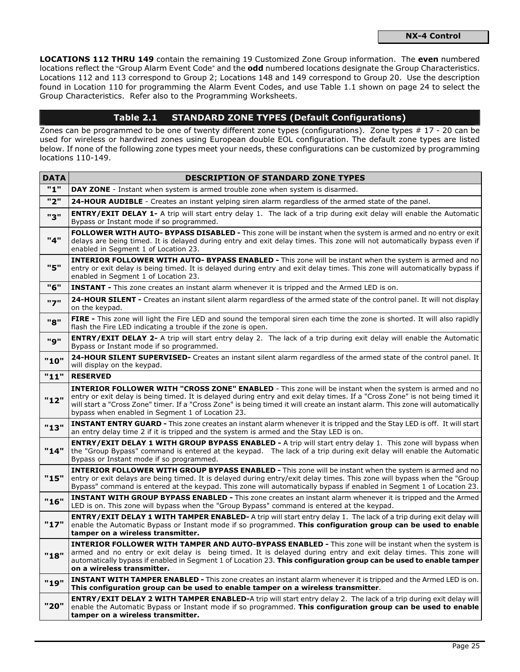LOCATIONS 112 THRU 149 contain the remaining 19 Customized Zone Group information. The even numbered locations reflect the "Group Alarm Event Code" and the odd numbered locations designate the Group Characteristics. Locations 112 and 113 correspond to Group 2; Locations 148 and 149 correspond to Group 20. Use the description found in Location 110 for programming the Alarm Event Codes, and use Table 1.1 shown on page 24 to select the Group Characteristics. Refer also to the Programming Worksheets.

## Table 2.1 STANDARD ZONE TYPES (Default Configurations)

Zones can be programmed to be one of twenty different zone types (configurations). Zone types # 17 - 20 can be used for wireless or hardwired zones using European double EOL configuration. The default zone types are listed below. If none of the following zone types meet your needs, these configurations can be customized by programming locations 110-149.

| <b>DATA</b> | <b>DESCRIPTION OF STANDARD ZONE TYPES</b>                                                                                                                                                                                                                                                                                                                                                                                      |
|-------------|--------------------------------------------------------------------------------------------------------------------------------------------------------------------------------------------------------------------------------------------------------------------------------------------------------------------------------------------------------------------------------------------------------------------------------|
| "1"         | DAY ZONE - Instant when system is armed trouble zone when system is disarmed.                                                                                                                                                                                                                                                                                                                                                  |
| "2"         | 24-HOUR AUDIBLE - Creates an instant yelping siren alarm regardless of the armed state of the panel.                                                                                                                                                                                                                                                                                                                           |
| "3"         | <b>ENTRY/EXIT DELAY 1-</b> A trip will start entry delay 1. The lack of a trip during exit delay will enable the Automatic<br>Bypass or Instant mode if so programmed.                                                                                                                                                                                                                                                         |
| "4"         | FOLLOWER WITH AUTO- BYPASS DISABLED - This zone will be instant when the system is armed and no entry or exit<br>delays are being timed. It is delayed during entry and exit delay times. This zone will not automatically bypass even if<br>enabled in Segment 1 of Location 23.                                                                                                                                              |
| "5"         | INTERIOR FOLLOWER WITH AUTO- BYPASS ENABLED - This zone will be instant when the system is armed and no<br>entry or exit delay is being timed. It is delayed during entry and exit delay times. This zone will automatically bypass if<br>enabled in Segment 1 of Location 23.                                                                                                                                                 |
| "6"         | <b>INSTANT</b> - This zone creates an instant alarm whenever it is tripped and the Armed LED is on.                                                                                                                                                                                                                                                                                                                            |
| "7"         | 24-HOUR SILENT - Creates an instant silent alarm regardless of the armed state of the control panel. It will not display<br>on the keypad.                                                                                                                                                                                                                                                                                     |
| "8"         | FIRE - This zone will light the Fire LED and sound the temporal siren each time the zone is shorted. It will also rapidly<br>flash the Fire LED indicating a trouble if the zone is open.                                                                                                                                                                                                                                      |
| "פ"         | <b>ENTRY/EXIT DELAY 2-</b> A trip will start entry delay 2. The lack of a trip during exit delay will enable the Automatic<br>Bypass or Instant mode if so programmed.                                                                                                                                                                                                                                                         |
| "10"        | 24-HOUR SILENT SUPERVISED- Creates an instant silent alarm regardless of the armed state of the control panel. It<br>will display on the keypad.                                                                                                                                                                                                                                                                               |
| "11"        | <b>RESERVED</b>                                                                                                                                                                                                                                                                                                                                                                                                                |
| "12"        | INTERIOR FOLLOWER WITH "CROSS ZONE" ENABLED - This zone will be instant when the system is armed and no<br>entry or exit delay is being timed. It is delayed during entry and exit delay times. If a "Cross Zone" is not being timed it<br>will start a "Cross Zone" timer. If a "Cross Zone" is being timed it will create an instant alarm. This zone will automatically<br>bypass when enabled in Segment 1 of Location 23. |
| "13"        | INSTANT ENTRY GUARD - This zone creates an instant alarm whenever it is tripped and the Stay LED is off. It will start<br>an entry delay time 2 if it is tripped and the system is armed and the Stay LED is on.                                                                                                                                                                                                               |
| "14"        | <b>ENTRY/EXIT DELAY 1 WITH GROUP BYPASS ENABLED - A trip will start entry delay 1. This zone will bypass when</b><br>the "Group Bypass" command is entered at the keypad. The lack of a trip during exit delay will enable the Automatic<br>Bypass or Instant mode if so programmed.                                                                                                                                           |
| "15"        | INTERIOR FOLLOWER WITH GROUP BYPASS ENABLED - This zone will be instant when the system is armed and no<br>entry or exit delays are being timed. It is delayed during entry/exit delay times. This zone will bypass when the "Group<br>Bypass" command is entered at the keypad. This zone will automatically bypass if enabled in Segment 1 of Location 23.                                                                   |
| "16"        | INSTANT WITH GROUP BYPASS ENABLED - This zone creates an instant alarm whenever it is tripped and the Armed<br>LED is on. This zone will bypass when the "Group Bypass" command is entered at the keypad.                                                                                                                                                                                                                      |
| "17"        | <b>ENTRY/EXIT DELAY 1 WITH TAMPER ENABLED-</b> A trip will start entry delay 1. The lack of a trip during exit delay will<br>enable the Automatic Bypass or Instant mode if so programmed. This configuration group can be used to enable<br>tamper on a wireless transmitter.                                                                                                                                                 |
| "18"        | <b>INTERIOR FOLLOWER WITH TAMPER AND AUTO-BYPASS ENABLED -</b> This zone will be instant when the system is<br>armed and no entry or exit delay is being timed. It is delayed during entry and exit delay times. This zone will<br>automatically bypass if enabled in Segment 1 of Location 23. This configuration group can be used to enable tamper<br>on a wireless transmitter.                                            |
| "19"        | INSTANT WITH TAMPER ENABLED - This zone creates an instant alarm whenever it is tripped and the Armed LED is on.<br>This configuration group can be used to enable tamper on a wireless transmitter.                                                                                                                                                                                                                           |
| "20"        | <b>ENTRY/EXIT DELAY 2 WITH TAMPER ENABLED-</b> A trip will start entry delay 2. The lack of a trip during exit delay will<br>enable the Automatic Bypass or Instant mode if so programmed. This configuration group can be used to enable<br>tamper on a wireless transmitter.                                                                                                                                                 |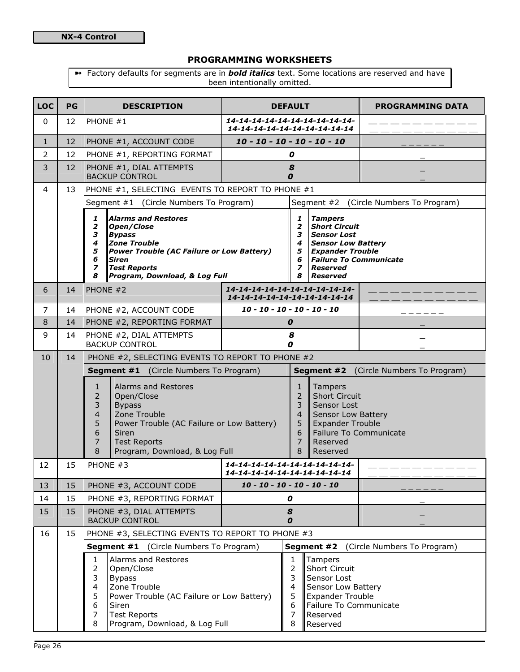## PROGRAMMING WORKSHEETS

<sup>></sup> Factory defaults for segments are in **bold italics** text. Some locations are reserved and have been intentionally omitted.

| <b>LOC</b>     | PG | <b>DESCRIPTION</b>                                                                                                                                                                                                                                         | <b>DEFAULT</b>                                                  |                                                                                                                                                                                                                                                                                  | <b>PROGRAMMING DATA</b>                       |  |
|----------------|----|------------------------------------------------------------------------------------------------------------------------------------------------------------------------------------------------------------------------------------------------------------|-----------------------------------------------------------------|----------------------------------------------------------------------------------------------------------------------------------------------------------------------------------------------------------------------------------------------------------------------------------|-----------------------------------------------|--|
| 0              | 12 | PHONE #1                                                                                                                                                                                                                                                   | 14-14-14-14-14-14-14-14-14-14-<br>14-14-14-14-14-14-14-14-14-14 |                                                                                                                                                                                                                                                                                  |                                               |  |
| $\mathbf{1}$   | 12 | PHONE #1, ACCOUNT CODE                                                                                                                                                                                                                                     | $10 - 10 - 10 - 10 - 10 - 10$                                   |                                                                                                                                                                                                                                                                                  |                                               |  |
| $\overline{2}$ | 12 | PHONE #1, REPORTING FORMAT                                                                                                                                                                                                                                 |                                                                 | 0                                                                                                                                                                                                                                                                                |                                               |  |
| 3              | 12 | PHONE #1, DIAL ATTEMPTS<br><b>BACKUP CONTROL</b>                                                                                                                                                                                                           | 0                                                               | 8                                                                                                                                                                                                                                                                                |                                               |  |
| $\overline{4}$ | 13 | PHONE #1, SELECTING EVENTS TO REPORT TO PHONE #1                                                                                                                                                                                                           |                                                                 |                                                                                                                                                                                                                                                                                  |                                               |  |
|                |    | Segment #1 (Circle Numbers To Program)                                                                                                                                                                                                                     |                                                                 |                                                                                                                                                                                                                                                                                  | Segment #2 (Circle Numbers To Program)        |  |
|                |    | <b>Alarms and Restores</b><br>1<br>2<br>Open/Close<br>3<br><b>Bypass</b><br><b>Zone Trouble</b><br>4<br>5<br>Power Trouble (AC Failure or Low Battery)<br>6<br><b>Siren</b><br><b>Test Reports</b><br>$\overline{z}$<br>Program, Download, & Log Full<br>8 |                                                                 | <b>Tampers</b><br>1<br><b>Short Circuit</b><br>$\overline{\mathbf{z}}$<br>3<br><b>Sensor Lost</b><br>4<br><b>Sensor Low Battery</b><br>5<br><b>Expander Trouble</b><br><b>Failure To Communicate</b><br>6<br>$\overline{\phantom{a}}$<br><b>Reserved</b><br>8<br><b>Reserved</b> |                                               |  |
| 6              | 14 | PHONE #2                                                                                                                                                                                                                                                   | 14-14-14-14-14-14-14-14-14-14-<br>14-14-14-14-14-14-14-14-14-14 |                                                                                                                                                                                                                                                                                  |                                               |  |
| 7              | 14 | PHONE #2, ACCOUNT CODE                                                                                                                                                                                                                                     | $10 - 10 - 10 - 10 - 10 - 10$                                   |                                                                                                                                                                                                                                                                                  |                                               |  |
| 8              | 14 | PHONE #2, REPORTING FORMAT                                                                                                                                                                                                                                 | 0                                                               |                                                                                                                                                                                                                                                                                  |                                               |  |
| 9              | 14 | PHONE #2, DIAL ATTEMPTS<br><b>BACKUP CONTROL</b>                                                                                                                                                                                                           | 0                                                               | 8                                                                                                                                                                                                                                                                                |                                               |  |
| 10             | 14 | PHONE #2, SELECTING EVENTS TO REPORT TO PHONE #2                                                                                                                                                                                                           |                                                                 |                                                                                                                                                                                                                                                                                  |                                               |  |
|                |    | <b>Segment #1</b> (Circle Numbers To Program)                                                                                                                                                                                                              |                                                                 |                                                                                                                                                                                                                                                                                  | <b>Segment #2</b> (Circle Numbers To Program) |  |
|                |    | Alarms and Restores<br>1<br>2<br>Open/Close<br>3<br><b>Bypass</b><br>Zone Trouble<br>4<br>5<br>Power Trouble (AC Failure or Low Battery)<br>6<br>Siren<br>7<br><b>Test Reports</b><br>8<br>Program, Download, & Log Full                                   |                                                                 | <b>Short Circuit</b><br>Sensor Lost<br>Sensor Low Battery<br><b>Expander Trouble</b><br><b>Failure To Communicate</b>                                                                                                                                                            |                                               |  |
| 12             | 15 | PHONE #3                                                                                                                                                                                                                                                   | 14-14-14-14-14-14-14-14-14-14-<br>14-14-14-14-14-14-14-14-14-14 |                                                                                                                                                                                                                                                                                  |                                               |  |
| 13             | 15 | PHONE #3, ACCOUNT CODE                                                                                                                                                                                                                                     | $10 - 10 - 10 - 10 - 10 - 10$                                   |                                                                                                                                                                                                                                                                                  |                                               |  |
| 14             | 15 | PHONE #3, REPORTING FORMAT                                                                                                                                                                                                                                 | 0                                                               |                                                                                                                                                                                                                                                                                  |                                               |  |
| 15             | 15 | PHONE #3, DIAL ATTEMPTS<br><b>BACKUP CONTROL</b>                                                                                                                                                                                                           | $\pmb{8}$<br>$\boldsymbol{o}$                                   |                                                                                                                                                                                                                                                                                  |                                               |  |
| 16             | 15 | PHONE #3, SELECTING EVENTS TO REPORT TO PHONE #3                                                                                                                                                                                                           |                                                                 |                                                                                                                                                                                                                                                                                  |                                               |  |
|                |    | (Circle Numbers To Program)<br>Segment #2<br>(Circle Numbers To Program)<br>Segment #1                                                                                                                                                                     |                                                                 |                                                                                                                                                                                                                                                                                  |                                               |  |
|                |    | Alarms and Restores<br>1<br>2<br>Open/Close<br>3<br><b>Bypass</b><br>Zone Trouble<br>4<br>5<br>Power Trouble (AC Failure or Low Battery)<br>6<br>Siren<br><b>Test Reports</b><br>7<br>8<br>Program, Download, & Log Full                                   |                                                                 | Tampers<br>1<br><b>Short Circuit</b><br>$\overline{2}$<br>3<br>Sensor Lost<br>4<br>Sensor Low Battery<br>5<br><b>Expander Trouble</b><br>6<br>Failure To Communicate<br>$\overline{7}$<br>Reserved<br>8<br>Reserved                                                              |                                               |  |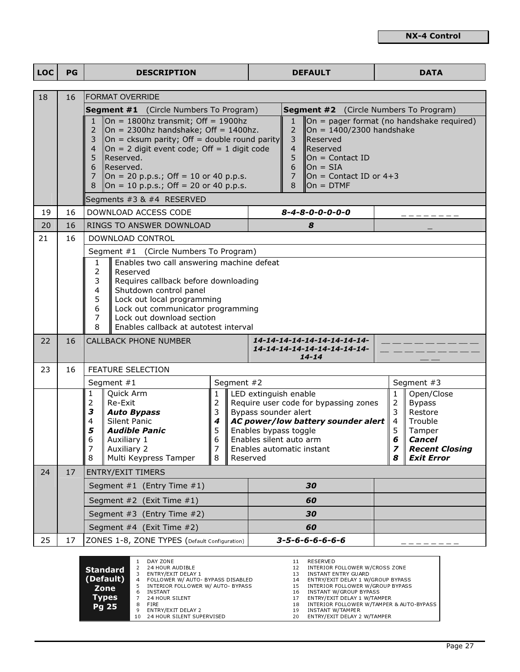| <b>LOC</b> | PG                                                                                                                        |                                                                                                                                                                                                                                                                                                                                                                                                                                                                                                                                                                                                                                                                                           | <b>DESCRIPTION</b>                                                                                                                        |                                            | <b>DEFAULT</b>                                                                                                                                                                                                            |                                                                         |  |                                                                                                | <b>DATA</b>                                                                                                         |
|------------|---------------------------------------------------------------------------------------------------------------------------|-------------------------------------------------------------------------------------------------------------------------------------------------------------------------------------------------------------------------------------------------------------------------------------------------------------------------------------------------------------------------------------------------------------------------------------------------------------------------------------------------------------------------------------------------------------------------------------------------------------------------------------------------------------------------------------------|-------------------------------------------------------------------------------------------------------------------------------------------|--------------------------------------------|---------------------------------------------------------------------------------------------------------------------------------------------------------------------------------------------------------------------------|-------------------------------------------------------------------------|--|------------------------------------------------------------------------------------------------|---------------------------------------------------------------------------------------------------------------------|
| 18         | 16                                                                                                                        |                                                                                                                                                                                                                                                                                                                                                                                                                                                                                                                                                                                                                                                                                           | <b>FORMAT OVERRIDE</b>                                                                                                                    |                                            |                                                                                                                                                                                                                           |                                                                         |  |                                                                                                |                                                                                                                     |
|            |                                                                                                                           | <b>Segment #1</b> (Circle Numbers To Program)<br><b>Segment #2</b> (Circle Numbers To Program)                                                                                                                                                                                                                                                                                                                                                                                                                                                                                                                                                                                            |                                                                                                                                           |                                            |                                                                                                                                                                                                                           |                                                                         |  |                                                                                                |                                                                                                                     |
|            |                                                                                                                           | $\vert$ On = 1800hz transmit; Off = 1900hz<br>$\vert$ On = pager format (no handshake required)<br>$\mathbf{1}$<br>$\mathbf{1}$<br>On = 2300hz handshake; Off = 1400hz.<br>2<br>$\overline{2}$<br>On = $1400/2300$ handshake<br>3<br>$\vert$ On = cksum parity; Off = double round parity<br>3<br>Reserved<br>On = 2 digit event code; Off = 1 digit code<br>$\overline{4}$<br>$\overline{4}$<br>Reserved<br>5<br>Reserved.<br>5<br>$On = Contact ID$<br>6<br>Reserved.<br>$On = SIA$<br>6<br>$\overline{7}$<br>$\Box$ On = 20 p.p.s.; Off = 10 or 40 p.p.s.<br>7<br>On = Contact ID or $4+3$<br>8<br>$\Box$ On = 10 p.p.s.; Off = 20 or 40 p.p.s.<br>$\mathsf{Ion} = \mathsf{DTMF}$<br>8 |                                                                                                                                           |                                            |                                                                                                                                                                                                                           |                                                                         |  |                                                                                                |                                                                                                                     |
|            |                                                                                                                           |                                                                                                                                                                                                                                                                                                                                                                                                                                                                                                                                                                                                                                                                                           | Segments #3 & #4 RESERVED                                                                                                                 |                                            |                                                                                                                                                                                                                           |                                                                         |  |                                                                                                |                                                                                                                     |
| 19         | 16                                                                                                                        |                                                                                                                                                                                                                                                                                                                                                                                                                                                                                                                                                                                                                                                                                           | DOWNLOAD ACCESS CODE                                                                                                                      |                                            |                                                                                                                                                                                                                           | $8 - 4 - 8 - 0 - 0 - 0 - 0$                                             |  |                                                                                                |                                                                                                                     |
| 20         | 16                                                                                                                        |                                                                                                                                                                                                                                                                                                                                                                                                                                                                                                                                                                                                                                                                                           | RINGS TO ANSWER DOWNLOAD                                                                                                                  |                                            |                                                                                                                                                                                                                           | 8                                                                       |  |                                                                                                |                                                                                                                     |
| 21         | 16                                                                                                                        |                                                                                                                                                                                                                                                                                                                                                                                                                                                                                                                                                                                                                                                                                           | DOWNLOAD CONTROL                                                                                                                          |                                            |                                                                                                                                                                                                                           |                                                                         |  |                                                                                                |                                                                                                                     |
|            |                                                                                                                           |                                                                                                                                                                                                                                                                                                                                                                                                                                                                                                                                                                                                                                                                                           | Segment #1 (Circle Numbers To Program)                                                                                                    |                                            |                                                                                                                                                                                                                           |                                                                         |  |                                                                                                |                                                                                                                     |
|            |                                                                                                                           | Enables two call answering machine defeat<br>1<br>$\overline{2}$<br>Reserved<br>3<br>Requires callback before downloading<br>4<br>Shutdown control panel<br>5<br>Lock out local programming<br>6<br>Lock out communicator programming<br>7<br>Lock out download section<br>8<br>Enables callback at autotest interval                                                                                                                                                                                                                                                                                                                                                                     |                                                                                                                                           |                                            |                                                                                                                                                                                                                           |                                                                         |  |                                                                                                |                                                                                                                     |
| 22         | 16                                                                                                                        |                                                                                                                                                                                                                                                                                                                                                                                                                                                                                                                                                                                                                                                                                           | <b>CALLBACK PHONE NUMBER</b>                                                                                                              |                                            |                                                                                                                                                                                                                           | 14-14-14-14-14-14-14-14-14-<br>14-14-14-14-14-14-14-14-14-<br>$14 - 14$ |  |                                                                                                |                                                                                                                     |
| 23         | 16                                                                                                                        |                                                                                                                                                                                                                                                                                                                                                                                                                                                                                                                                                                                                                                                                                           | <b>FEATURE SELECTION</b>                                                                                                                  |                                            |                                                                                                                                                                                                                           |                                                                         |  |                                                                                                |                                                                                                                     |
|            |                                                                                                                           |                                                                                                                                                                                                                                                                                                                                                                                                                                                                                                                                                                                                                                                                                           | Segment #1                                                                                                                                | Segment #2                                 |                                                                                                                                                                                                                           |                                                                         |  |                                                                                                | Segment #3                                                                                                          |
|            |                                                                                                                           | 1<br>$\mathbf 2$<br>3<br>4<br>5<br>6<br>$\overline{7}$<br>8                                                                                                                                                                                                                                                                                                                                                                                                                                                                                                                                                                                                                               | Quick Arm<br>Re-Exit<br><b>Auto Bypass</b><br>Silent Panic<br><b>Audible Panic</b><br>Auxiliary 1<br>Auxiliary 2<br>Multi Keypress Tamper | $\mathbf{1}$<br>2<br>3<br>4<br>5<br>7<br>8 | LED extinguish enable<br>Require user code for bypassing zones<br>Bypass sounder alert<br>AC power/low battery sounder alert<br>Enables bypass toggle<br>Enables silent auto arm<br>Enables automatic instant<br>Reserved |                                                                         |  | $\mathbf{1}$<br>$\overline{2}$<br>3<br>$\parallel$ 4<br>5<br>6<br>$\overline{\mathbf{z}}$<br>8 | Open/Close<br><b>Bypass</b><br>Restore<br>Trouble<br>Tamper<br>Cancel<br><b>Recent Closing</b><br><b>Exit Error</b> |
| 24         | 17                                                                                                                        |                                                                                                                                                                                                                                                                                                                                                                                                                                                                                                                                                                                                                                                                                           | <b>ENTRY/EXIT TIMERS</b>                                                                                                                  |                                            |                                                                                                                                                                                                                           |                                                                         |  |                                                                                                |                                                                                                                     |
|            |                                                                                                                           |                                                                                                                                                                                                                                                                                                                                                                                                                                                                                                                                                                                                                                                                                           | Segment #1 (Entry Time #1)                                                                                                                |                                            |                                                                                                                                                                                                                           | 30                                                                      |  |                                                                                                |                                                                                                                     |
|            |                                                                                                                           | 60<br>Segment #2 (Exit Time #1)                                                                                                                                                                                                                                                                                                                                                                                                                                                                                                                                                                                                                                                           |                                                                                                                                           |                                            |                                                                                                                                                                                                                           |                                                                         |  |                                                                                                |                                                                                                                     |
|            |                                                                                                                           |                                                                                                                                                                                                                                                                                                                                                                                                                                                                                                                                                                                                                                                                                           | Segment #3 (Entry Time #2)                                                                                                                | 30                                         |                                                                                                                                                                                                                           |                                                                         |  |                                                                                                |                                                                                                                     |
|            |                                                                                                                           |                                                                                                                                                                                                                                                                                                                                                                                                                                                                                                                                                                                                                                                                                           | Segment #4 (Exit Time #2)                                                                                                                 | 60                                         |                                                                                                                                                                                                                           |                                                                         |  |                                                                                                |                                                                                                                     |
| 25         | 17                                                                                                                        | $3 - 5 - 6 - 6 - 6 - 6 - 6$<br>ZONES 1-8, ZONE TYPES (Default Configuration)                                                                                                                                                                                                                                                                                                                                                                                                                                                                                                                                                                                                              |                                                                                                                                           |                                            |                                                                                                                                                                                                                           |                                                                         |  |                                                                                                |                                                                                                                     |
|            | DAY ZONE<br>RESERVED<br>$\mathbf{1}$<br>11<br><b>24 HOUR AUDIBLE</b><br>INTERIOR FOLLOWER W/CROSS ZONE<br>12 <sub>1</sub> |                                                                                                                                                                                                                                                                                                                                                                                                                                                                                                                                                                                                                                                                                           |                                                                                                                                           |                                            |                                                                                                                                                                                                                           |                                                                         |  |                                                                                                |                                                                                                                     |

|                 |     | DAY ZONE                         | 11 | RESERVED                                 |
|-----------------|-----|----------------------------------|----|------------------------------------------|
| <b>Standard</b> |     | 24 HOUR AUDIBLE                  | 12 | INTERIOR FOLLOWER W/CROSS ZONE           |
|                 |     | ENTRY/EXIT DELAY 1               | 13 | INSTANT ENTRY GUARD                      |
| (Default)       | 4   | FOLLOWER W/ AUTO BYPASS DISABLED | 14 | ENTRY/EXIT DELAY 1 W/GROUP BYPASS        |
| Zone            |     | INTERIOR FOLLOWER W/ AUTO BYPASS | 15 | INTERIOR FOLLOWER W/GROUP BYPASS         |
|                 | 6.  | <b>INSTANT</b>                   | 16 | INSTANT W/GROUP BYPASS                   |
| <b>Types</b>    |     | 24 HOUR SILENT                   | 17 | ENTRY/EXIT DELAY 1 W/TAMPER              |
| Pg 25           | 8   | <b>FIRE</b>                      | 18 | INTERIOR FOLLOWER W/TAMPER & AUTO-BYPASS |
|                 | 9   | ENTRY/EXIT DELAY 2               | 19 | <b>INSTANT W/TAMPER</b>                  |
|                 | 10. | 24 HOUR SILENT SUPERVISED        | 20 | ENTRY/EXIT DELAY 2 W/TAMPER              |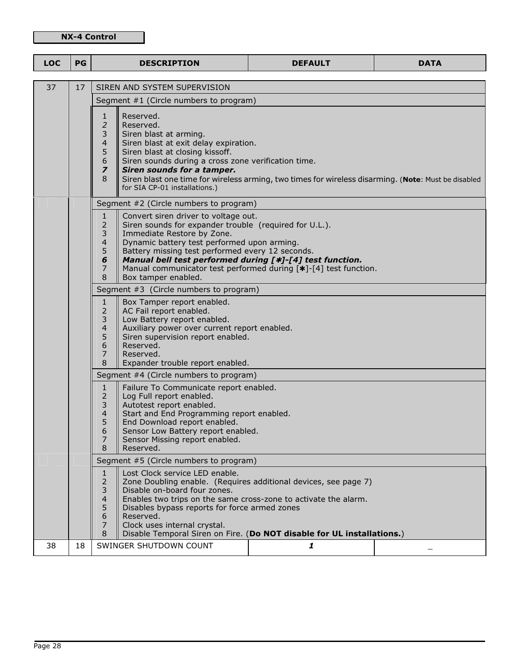## NX-4 Control

| <b>LOC</b> | PG | <b>DESCRIPTION</b>                                                                                                                                                                                                                                                                                                                                                                              | <b>DEFAULT</b>                                                                                                                                                                                               | <b>DATA</b> |
|------------|----|-------------------------------------------------------------------------------------------------------------------------------------------------------------------------------------------------------------------------------------------------------------------------------------------------------------------------------------------------------------------------------------------------|--------------------------------------------------------------------------------------------------------------------------------------------------------------------------------------------------------------|-------------|
|            |    |                                                                                                                                                                                                                                                                                                                                                                                                 |                                                                                                                                                                                                              |             |
| 37         | 17 | SIREN AND SYSTEM SUPERVISION<br>Segment #1 (Circle numbers to program)                                                                                                                                                                                                                                                                                                                          |                                                                                                                                                                                                              |             |
|            |    | Reserved.<br>$\mathbf{1}$<br>$\overline{2}$<br>Reserved.<br>$\overline{3}$<br>Siren blast at arming.<br>$\overline{4}$<br>Siren blast at exit delay expiration.<br>5<br>Siren blast at closing kissoff.<br>$\boldsymbol{6}$<br>Siren sounds during a cross zone verification time.<br>$\overline{\phantom{a}}$<br>Siren sounds for a tamper.<br>8<br>for SIA CP-01 installations.)              | Siren blast one time for wireless arming, two times for wireless disarming. (Note: Must be disabled                                                                                                          |             |
|            |    | Segment #2 (Circle numbers to program)                                                                                                                                                                                                                                                                                                                                                          |                                                                                                                                                                                                              |             |
|            |    | $\mathbf{1}$<br>Convert siren driver to voltage out.<br>$\overline{2}$<br>Siren sounds for expander trouble (required for U.L.).<br>3<br>Immediate Restore by Zone.<br>$\overline{4}$<br>Dynamic battery test performed upon arming.<br>5<br>Battery missing test performed every 12 seconds.<br>Manual bell test performed during [*]-[4] test function.<br>6<br>7<br>8<br>Box tamper enabled. | Manual communicator test performed during [*]-[4] test function.                                                                                                                                             |             |
|            |    | Segment #3 (Circle numbers to program)                                                                                                                                                                                                                                                                                                                                                          |                                                                                                                                                                                                              |             |
|            |    | $\mathbf{1}$<br>Box Tamper report enabled.<br>$\overline{2}$<br>AC Fail report enabled.<br>3<br>Low Battery report enabled.<br>$\overline{4}$<br>Auxiliary power over current report enabled.<br>5<br>Siren supervision report enabled.<br>6<br>Reserved.<br>7<br>Reserved.<br>8<br>Expander trouble report enabled.                                                                            |                                                                                                                                                                                                              |             |
|            |    | Segment #4 (Circle numbers to program)                                                                                                                                                                                                                                                                                                                                                          |                                                                                                                                                                                                              |             |
|            |    | $\mathbf{1}$<br>Failure To Communicate report enabled.<br>$\overline{2}$<br>Log Full report enabled.<br>3<br>Autotest report enabled.<br>$\overline{4}$<br>Start and End Programming report enabled.<br>5<br>End Download report enabled.<br>6<br>Sensor Low Battery report enabled.<br>Sensor Missing report enabled.<br>7<br>8<br>Reserved.                                                   |                                                                                                                                                                                                              |             |
|            |    | Segment #5 (Circle numbers to program)                                                                                                                                                                                                                                                                                                                                                          |                                                                                                                                                                                                              |             |
|            |    | Lost Clock service LED enable.<br>$\mathbf{1}$<br>2<br>3<br>Disable on-board four zones.<br>4<br>5<br>Disables bypass reports for force armed zones<br>6<br>Reserved.<br>Clock uses internal crystal.<br>7<br>8                                                                                                                                                                                 | Zone Doubling enable. (Requires additional devices, see page 7)<br>Enables two trips on the same cross-zone to activate the alarm.<br>Disable Temporal Siren on Fire. (Do NOT disable for UL installations.) |             |
| 38         | 18 | SWINGER SHUTDOWN COUNT                                                                                                                                                                                                                                                                                                                                                                          | $\mathbf{1}$                                                                                                                                                                                                 |             |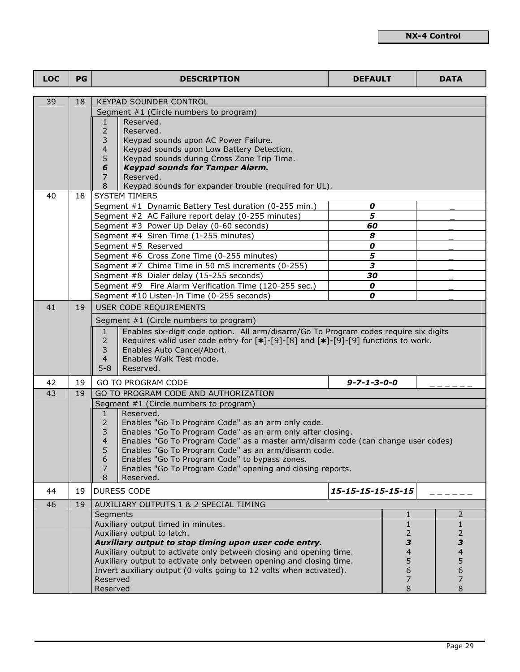| <b>LOC</b> | PG | <b>DESCRIPTION</b>                                                                                                                           | <b>DEFAULT</b>          |               | <b>DATA</b>    |
|------------|----|----------------------------------------------------------------------------------------------------------------------------------------------|-------------------------|---------------|----------------|
|            |    |                                                                                                                                              |                         |               |                |
| 39         | 18 | <b>KEYPAD SOUNDER CONTROL</b><br>Segment #1 (Circle numbers to program)                                                                      |                         |               |                |
|            |    | Reserved.<br>1                                                                                                                               |                         |               |                |
|            |    | $\overline{2}$<br>Reserved.                                                                                                                  |                         |               |                |
|            |    | 3<br>Keypad sounds upon AC Power Failure.                                                                                                    |                         |               |                |
|            |    | 4<br>Keypad sounds upon Low Battery Detection.                                                                                               |                         |               |                |
|            |    | 5<br>Keypad sounds during Cross Zone Trip Time.<br><b>Keypad sounds for Tamper Alarm.</b><br>6                                               |                         |               |                |
|            |    | Reserved.<br>7                                                                                                                               |                         |               |                |
|            |    | 8<br>Keypad sounds for expander trouble (required for UL).                                                                                   |                         |               |                |
| 40         | 18 | <b>SYSTEM TIMERS</b>                                                                                                                         |                         |               |                |
|            |    | Segment #1 Dynamic Battery Test duration (0-255 min.)                                                                                        | 0                       |               |                |
|            |    | Segment #2 AC Failure report delay (0-255 minutes)                                                                                           | 5                       |               |                |
|            |    | Segment #3 Power Up Delay (0-60 seconds)<br>Segment #4 Siren Time (1-255 minutes)                                                            | 60<br>8                 |               |                |
|            |    | Segment #5 Reserved                                                                                                                          | 0                       |               |                |
|            |    | Segment #6 Cross Zone Time (0-255 minutes)                                                                                                   | 5                       |               |                |
|            |    | Segment #7 Chime Time in 50 mS increments (0-255)                                                                                            | 3                       |               |                |
|            |    | Segment #8 Dialer delay (15-255 seconds)                                                                                                     | 30                      |               |                |
|            |    | Segment #9 Fire Alarm Verification Time (120-255 sec.)                                                                                       | 0                       |               |                |
|            |    | Segment #10 Listen-In Time (0-255 seconds)                                                                                                   | 0                       |               |                |
| 41         | 19 | USER CODE REQUIREMENTS                                                                                                                       |                         |               |                |
|            |    | Segment #1 (Circle numbers to program)                                                                                                       |                         |               |                |
|            |    | Enables six-digit code option. All arm/disarm/Go To Program codes require six digits<br>$\mathbf{1}$                                         |                         |               |                |
|            |    | $\overline{2}$<br>Requires valid user code entry for $[*]$ -[9]-[8] and $[*]$ -[9]-[9] functions to work.<br>3<br>Enables Auto Cancel/Abort. |                         |               |                |
|            |    | Enables Walk Test mode.<br>4                                                                                                                 |                         |               |                |
|            |    | $5 - 8$<br>Reserved.                                                                                                                         |                         |               |                |
| 42         | 19 | <b>GO TO PROGRAM CODE</b>                                                                                                                    | $9 - 7 - 1 - 3 - 0 - 0$ |               |                |
| 43         | 19 | GO TO PROGRAM CODE AND AUTHORIZATION                                                                                                         |                         |               |                |
|            |    | Segment #1 (Circle numbers to program)<br>Reserved.<br>$\mathbf{1}$                                                                          |                         |               |                |
|            |    | $\overline{2}$<br>Enables "Go To Program Code" as an arm only code.                                                                          |                         |               |                |
|            |    | Enables "Go To Program Code" as an arm only after closing.<br>3                                                                              |                         |               |                |
|            |    | Enables "Go To Program Code" as a master arm/disarm code (can change user codes)<br>4                                                        |                         |               |                |
|            |    | Enables "Go To Program Code" as an arm/disarm code.<br>5                                                                                     |                         |               |                |
|            |    | 6<br>Enables "Go To Program Code" to bypass zones.<br>Enables "Go To Program Code" opening and closing reports.<br>7                         |                         |               |                |
|            |    | 8<br>Reserved.                                                                                                                               |                         |               |                |
| 44         | 19 | <b>DURESS CODE</b>                                                                                                                           | 15-15-15-15-15-15       |               |                |
| 46         | 19 | AUXILIARY OUTPUTS 1 & 2 SPECIAL TIMING                                                                                                       |                         |               |                |
|            |    | Segments                                                                                                                                     |                         | 1             | $\overline{2}$ |
|            |    | Auxiliary output timed in minutes.                                                                                                           |                         | $\mathbf{1}$  | $\mathbf{1}$   |
|            |    | Auxiliary output to latch.                                                                                                                   |                         | 2             | $\overline{2}$ |
|            |    | Auxiliary output to stop timing upon user code entry.<br>Auxiliary output to activate only between closing and opening time.                 |                         | 3<br>4        | 3<br>4         |
|            |    | Auxiliary output to activate only between opening and closing time.                                                                          |                         |               | 5              |
|            |    | Invert auxiliary output (0 volts going to 12 volts when activated).                                                                          |                         | $\frac{5}{6}$ | 6              |
|            |    | Reserved                                                                                                                                     |                         | 7             | 7              |
|            |    | Reserved                                                                                                                                     |                         | 8             | 8              |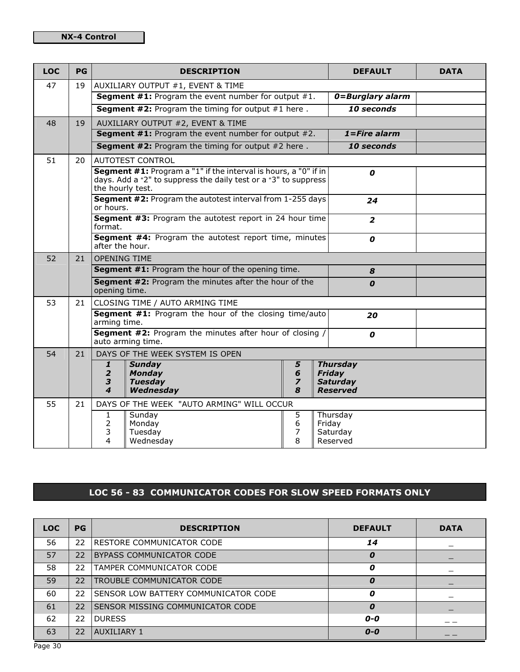| <b>LOC</b> | PG |                     | <b>DESCRIPTION</b>                                                                                                                 |                         | <b>DEFAULT</b>            | <b>DATA</b> |
|------------|----|---------------------|------------------------------------------------------------------------------------------------------------------------------------|-------------------------|---------------------------|-------------|
| 47         | 19 |                     | AUXILIARY OUTPUT #1, EVENT & TIME                                                                                                  |                         |                           |             |
|            |    |                     | <b>Segment #1:</b> Program the event number for output $#1$ .                                                                      |                         | 0=Burglary alarm          |             |
|            |    |                     | <b>Segment #2:</b> Program the timing for output $#1$ here.                                                                        |                         | 10 seconds                |             |
| 48         | 19 |                     | AUXILIARY OUTPUT #2, EVENT & TIME                                                                                                  |                         |                           |             |
|            |    |                     | <b>Segment #1:</b> Program the event number for output $#2$ .                                                                      |                         | $1 = Fire$ alarm          |             |
|            |    |                     | <b>Segment #2:</b> Program the timing for output $#2$ here.                                                                        |                         | 10 seconds                |             |
| 51         | 20 |                     | <b>AUTOTEST CONTROL</b>                                                                                                            |                         |                           |             |
|            |    |                     | Segment #1: Program a "1" if the interval is hours, a "0" if in<br>days. Add a "2" to suppress the daily test or a "3" to suppress |                         | 0                         |             |
|            |    | the hourly test.    |                                                                                                                                    |                         |                           |             |
|            |    | or hours.           | Segment #2: Program the autotest interval from 1-255 days                                                                          |                         | 24                        |             |
|            |    | format.             | <b>Segment #3: Program the autotest report in 24 hour time</b>                                                                     |                         | $\overline{2}$            |             |
|            |    | after the hour.     | Segment #4: Program the autotest report time, minutes                                                                              |                         | 0                         |             |
| 52         | 21 | <b>OPENING TIME</b> |                                                                                                                                    |                         |                           |             |
|            |    |                     | Segment #1: Program the hour of the opening time.                                                                                  |                         | 8                         |             |
|            |    | opening time.       | Segment #2: Program the minutes after the hour of the                                                                              |                         | 0                         |             |
| 53         | 21 |                     | CLOSING TIME / AUTO ARMING TIME                                                                                                    |                         |                           |             |
|            |    | arming time.        | <b>Segment #1:</b> Program the hour of the closing time/auto                                                                       |                         | 20                        |             |
|            |    |                     | <b>Segment #2:</b> Program the minutes after hour of closing /<br>auto arming time.                                                |                         | $\boldsymbol{o}$          |             |
| 54         | 21 |                     | DAYS OF THE WEEK SYSTEM IS OPEN                                                                                                    |                         |                           |             |
|            |    | 1<br>$\overline{2}$ | <b>Sunday</b><br><b>Monday</b>                                                                                                     | 5<br>6                  | <b>Thursday</b><br>Friday |             |
|            |    | 3                   | <b>Tuesday</b>                                                                                                                     | $\overline{\mathbf{z}}$ | <b>Saturday</b>           |             |
|            |    | 4                   | Wednesday                                                                                                                          | 8                       | <b>Reserved</b>           |             |
| 55         | 21 |                     | DAYS OF THE WEEK "AUTO ARMING" WILL OCCUR                                                                                          |                         |                           |             |
|            |    | 1                   | Sunday                                                                                                                             | 5                       | Thursday                  |             |
|            |    | 2<br>3              | Monday<br>Tuesday                                                                                                                  | 6<br>7                  | Friday<br>Saturday        |             |
|            |    | 4                   | Wednesday                                                                                                                          | 8                       | Reserved                  |             |

# LOC 56 - 83 COMMUNICATOR CODES FOR SLOW SPEED FORMATS ONLY

| <b>LOC</b> | <b>PG</b>       | <b>DESCRIPTION</b>                      | <b>DEFAULT</b> | <b>DATA</b> |
|------------|-----------------|-----------------------------------------|----------------|-------------|
| 56         | $22^{\circ}$    | <b>IRESTORE COMMUNICATOR CODE</b>       | 14             |             |
| 57         | 22              | <b>BYPASS COMMUNICATOR CODE</b>         | 0              |             |
| 58         | 22.             | <b>ITAMPER COMMUNICATOR CODE</b>        | 0              |             |
| 59         | 22 <sub>1</sub> | <b>TROUBLE COMMUNICATOR CODE</b>        | 0              |             |
| 60         | 22              | I SENSOR LOW BATTERY COMMUNICATOR CODE  | 0              |             |
| 61         | 22              | <b>SENSOR MISSING COMMUNICATOR CODE</b> | 0              |             |
| 62         | 22              | <b>DURESS</b>                           | $O-O$          |             |
| 63         | 22              | <b>AUXILIARY 1</b>                      | $O-O$          |             |

Page 30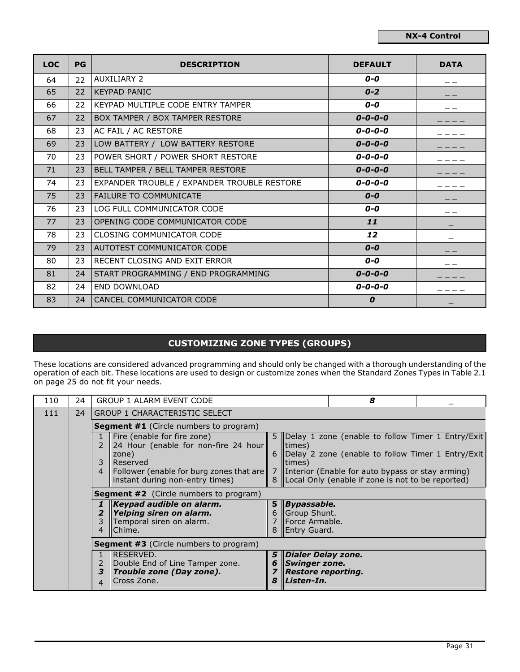| <b>LOC</b> | PG              | <b>DESCRIPTION</b>                          | <b>DEFAULT</b>  | <b>DATA</b> |
|------------|-----------------|---------------------------------------------|-----------------|-------------|
| 64         | 22              | <b>AUXILIARY 2</b>                          | $O-O$           |             |
| 65         | 22 <sup>2</sup> | <b>IKEYPAD PANIC</b>                        | $0 - 2$         |             |
| 66         | 22              | KEYPAD MULTIPLE CODE ENTRY TAMPER           | 0-0             |             |
| 67         | 22              | BOX TAMPER / BOX TAMPER RESTORE             | $0 - 0 - 0 - 0$ |             |
| 68         | 23              | AC FAIL / AC RESTORE                        | $0 - 0 - 0 - 0$ |             |
| 69         | 23              | LOW BATTERY / LOW BATTERY RESTORE           | $0 - 0 - 0 - 0$ |             |
| 70         | 23              | POWER SHORT / POWER SHORT RESTORE           | $0 - 0 - 0 - 0$ |             |
| 71         | 23              | BELL TAMPER / BELL TAMPER RESTORE           | $0 - 0 - 0 - 0$ |             |
| 74         | 23              | EXPANDER TROUBLE / EXPANDER TROUBLE RESTORE | $0 - 0 - 0 - 0$ |             |
| 75         | 23              | <b>FAILURE TO COMMUNICATE</b>               | $O-O$           |             |
| 76         | 23              | LOG FULL COMMUNICATOR CODE                  | $O-O$           |             |
| 77         | 23              | OPENING CODE COMMUNICATOR CODE              | 11              |             |
| 78         | 23              | CLOSING COMMUNICATOR CODE                   | 12              |             |
| 79         | 23              | <b>AUTOTEST COMMUNICATOR CODE</b>           | $O-O$           |             |
| 80         | 23              | RECENT CLOSING AND EXIT ERROR               | $O-O$           |             |
| 81         | 24              | START PROGRAMMING / END PROGRAMMING         | $0 - 0 - 0 - 0$ |             |
| 82         | 24              | END DOWNLOAD                                | $0 - 0 - 0 - 0$ |             |
| 83         | 24              | CANCEL COMMUNICATOR CODE                    | 0               |             |

# CUSTOMIZING ZONE TYPES (GROUPS)

These locations are considered advanced programming and should only be changed with a <u>thorough</u> understanding of the operation of each bit. These locations are used to design or customize zones when the Standard Zones Types in Table 2.1 on page 25 do not fit your needs.

| 110 | 24 | <b>GROUP 1 ALARM EVENT CODE</b>                                                                           |  |                                                                             | 8                                                                                                         |  |
|-----|----|-----------------------------------------------------------------------------------------------------------|--|-----------------------------------------------------------------------------|-----------------------------------------------------------------------------------------------------------|--|
| 111 | 24 | <b>GROUP 1 CHARACTERISTIC SELECT</b>                                                                      |  |                                                                             |                                                                                                           |  |
|     |    | <b>Segment #1</b> (Circle numbers to program)                                                             |  |                                                                             |                                                                                                           |  |
|     |    | Fire (enable for fire zone)<br>24 Hour (enable for non-fire 24 hour<br>$\mathcal{P}$                      |  | times)                                                                      | 5 Delay 1 zone (enable to follow Timer 1 Entry/Exit                                                       |  |
|     |    | zone)<br>3<br><b>IReserved</b>                                                                            |  | limes)                                                                      | 6 Delay 2 zone (enable to follow Timer 1 Entry/Exit                                                       |  |
|     |    | Follower (enable for burg zones that are<br>4<br>instant during non-entry times)                          |  |                                                                             | 7 Interior (Enable for auto bypass or stay arming)<br>8 Local Only (enable if zone is not to be reported) |  |
|     |    | <b>Segment #2</b> (Circle numbers to program)                                                             |  |                                                                             |                                                                                                           |  |
|     |    | $\mathbf K$ eypad audible on alarm.<br>Yelping siren on alarm.<br>2<br>Temporal siren on alarm.<br>Chime. |  | 5 Bypassable.<br>6 Group Shunt.<br>Force Armable.<br>Entry Guard.           |                                                                                                           |  |
|     |    | <b>Segment #3</b> (Circle numbers to program)                                                             |  |                                                                             |                                                                                                           |  |
|     |    | RESERVED.<br>Double End of Line Tamper zone.<br>2<br>3<br>Trouble zone (Day zone).<br>Cross Zone.<br>4    |  | 5 Dialer Delay zone.<br>Swinger zone.<br>Restore reporting.<br>8 Listen-In. |                                                                                                           |  |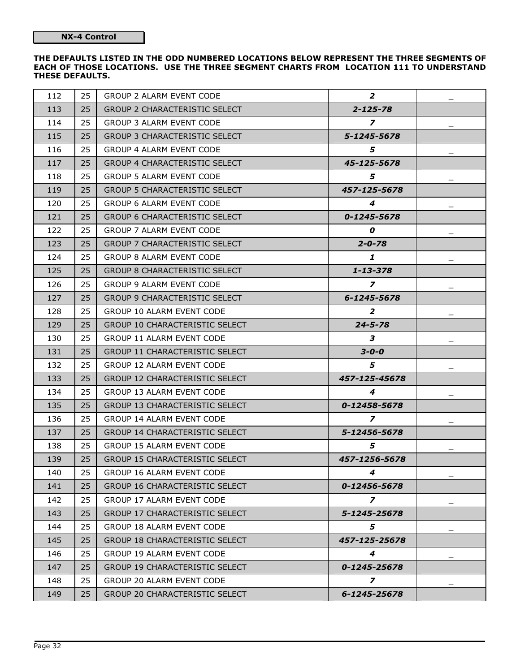#### THE DEFAULTS LISTED IN THE ODD NUMBERED LOCATIONS BELOW REPRESENT THE THREE SEGMENTS OF EACH OF THOSE LOCATIONS. USE THE THREE SEGMENT CHARTS FROM LOCATION 111 TO UNDERSTAND THESE DEFAULTS.

| 112 | 25              | GROUP 2 ALARM EVENT CODE              | $\overline{2}$    | $\qquad \qquad -$ |
|-----|-----------------|---------------------------------------|-------------------|-------------------|
| 113 | 25              | GROUP 2 CHARACTERISTIC SELECT         | $2 - 125 - 78$    |                   |
| 114 | 25              | <b>GROUP 3 ALARM EVENT CODE</b>       | $\overline{z}$    |                   |
| 115 | 25              | GROUP 3 CHARACTERISTIC SELECT         | 5-1245-5678       |                   |
| 116 | 25              | GROUP 4 ALARM EVENT CODE              | 5.                |                   |
| 117 | 25              | GROUP 4 CHARACTERISTIC SELECT         | 45-125-5678       |                   |
| 118 | 25              | <b>GROUP 5 ALARM EVENT CODE</b>       | 5                 |                   |
| 119 | 25              | GROUP 5 CHARACTERISTIC SELECT         | 457-125-5678      |                   |
| 120 | 25              | <b>GROUP 6 ALARM EVENT CODE</b>       | 4                 |                   |
| 121 | 25              | GROUP 6 CHARACTERISTIC SELECT         | $0 - 1245 - 5678$ |                   |
| 122 | 25              | GROUP 7 ALARM EVENT CODE              | 0                 |                   |
| 123 | 25              | GROUP 7 CHARACTERISTIC SELECT         | $2 - 0 - 78$      |                   |
| 124 | 25              | <b>GROUP 8 ALARM EVENT CODE</b>       | 1                 |                   |
| 125 | 25              | GROUP 8 CHARACTERISTIC SELECT         | $1 - 13 - 378$    |                   |
| 126 | 25              | <b>GROUP 9 ALARM EVENT CODE</b>       | $\overline{z}$    |                   |
| 127 | 25              | GROUP 9 CHARACTERISTIC SELECT         | 6-1245-5678       |                   |
| 128 | 25              | <b>GROUP 10 ALARM EVENT CODE</b>      | 2                 |                   |
| 129 | 25              | <b>GROUP 10 CHARACTERISTIC SELECT</b> | $24 - 5 - 78$     |                   |
| 130 | 25              | GROUP 11 ALARM EVENT CODE             | 3                 |                   |
| 131 | 25              | GROUP 11 CHARACTERISTIC SELECT        | $3 - 0 - 0$       |                   |
| 132 | 25              | <b>GROUP 12 ALARM EVENT CODE</b>      | 5                 |                   |
| 133 | 25              | GROUP 12 CHARACTERISTIC SELECT        | 457-125-45678     |                   |
| 134 | 25              | GROUP 13 ALARM EVENT CODE             | 4                 |                   |
| 135 | 25              | <b>GROUP 13 CHARACTERISTIC SELECT</b> | 0-12458-5678      |                   |
| 136 | 25              | GROUP 14 ALARM EVENT CODE             | $\overline{z}$    |                   |
| 137 | 25              | GROUP 14 CHARACTERISTIC SELECT        | 5-12456-5678      |                   |
| 138 | 25              | <b>GROUP 15 ALARM EVENT CODE</b>      | 5                 |                   |
| 139 | 25 <sup>2</sup> | GROUP 15 CHARACTERISTIC SELECT        | 457-1256-5678     |                   |
| 140 | 25              | <b>GROUP 16 ALARM EVENT CODE</b>      | $\boldsymbol{4}$  |                   |
| 141 | 25              | <b>GROUP 16 CHARACTERISTIC SELECT</b> | 0-12456-5678      |                   |
| 142 | 25              | <b>GROUP 17 ALARM EVENT CODE</b>      | $\overline{z}$    |                   |
| 143 | 25              | <b>GROUP 17 CHARACTERISTIC SELECT</b> | 5-1245-25678      |                   |
| 144 | 25              | <b>GROUP 18 ALARM EVENT CODE</b>      | 5                 |                   |
| 145 | 25              | GROUP 18 CHARACTERISTIC SELECT        | 457-125-25678     |                   |
| 146 | 25              | <b>GROUP 19 ALARM EVENT CODE</b>      | 4                 |                   |
| 147 | 25              | <b>GROUP 19 CHARACTERISTIC SELECT</b> | 0-1245-25678      |                   |
| 148 | 25              | <b>GROUP 20 ALARM EVENT CODE</b>      | $\overline{z}$    |                   |
| 149 | 25              | GROUP 20 CHARACTERISTIC SELECT        | 6-1245-25678      |                   |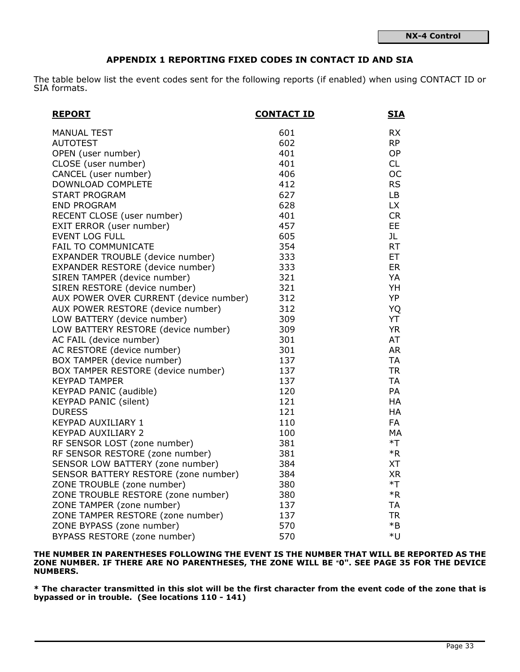## APPENDIX 1 REPORTING FIXED CODES IN CONTACT ID AND SIA

The table below list the event codes sent for the following reports (if enabled) when using CONTACT ID or SIA formats.

| <b>REPORT</b>                          | <b>CONTACT ID</b> | <b>SIA</b> |
|----------------------------------------|-------------------|------------|
| <b>MANUAL TEST</b>                     | 601               | <b>RX</b>  |
| <b>AUTOTEST</b>                        | 602               | <b>RP</b>  |
| OPEN (user number)                     | 401               | <b>OP</b>  |
| CLOSE (user number)                    | 401               | <b>CL</b>  |
| CANCEL (user number)                   | 406               | <b>OC</b>  |
| DOWNLOAD COMPLETE                      | 412               | <b>RS</b>  |
| <b>START PROGRAM</b>                   | 627               | LB         |
| <b>END PROGRAM</b>                     | 628               | <b>LX</b>  |
| RECENT CLOSE (user number)             | 401               | <b>CR</b>  |
| EXIT ERROR (user number)               | 457               | EE         |
| <b>EVENT LOG FULL</b>                  | 605               | JL         |
| FAIL TO COMMUNICATE                    | 354               | RT         |
| EXPANDER TROUBLE (device number)       | 333               | ET.        |
| EXPANDER RESTORE (device number)       | 333               | <b>ER</b>  |
| SIREN TAMPER (device number)           | 321               | YA         |
| SIREN RESTORE (device number)          | 321               | YH         |
| AUX POWER OVER CURRENT (device number) | 312               | YP         |
| AUX POWER RESTORE (device number)      | 312               | <b>YQ</b>  |
| LOW BATTERY (device number)            | 309               | YT         |
| LOW BATTERY RESTORE (device number)    | 309               | <b>YR</b>  |
| AC FAIL (device number)                | 301               | AT         |
| AC RESTORE (device number)             | 301               | <b>AR</b>  |
| BOX TAMPER (device number)             | 137               | <b>TA</b>  |
| BOX TAMPER RESTORE (device number)     | 137               | <b>TR</b>  |
| <b>KEYPAD TAMPER</b>                   | 137               | <b>TA</b>  |
| KEYPAD PANIC (audible)                 | 120               | PA         |
| <b>KEYPAD PANIC (silent)</b>           | 121               | HA         |
| <b>DURESS</b>                          | 121               | HA         |
| KEYPAD AUXILIARY 1                     | 110               | FA         |
| KEYPAD AUXILIARY 2                     | 100               | MA         |
| RF SENSOR LOST (zone number)           | 381               | $*T$       |
| RF SENSOR RESTORE (zone number)        | 381               | $*R$       |
| SENSOR LOW BATTERY (zone number)       | 384               | <b>XT</b>  |
| SENSOR BATTERY RESTORE (zone number)   | 384               | <b>XR</b>  |
| ZONE TROUBLE (zone number)             | 380               | $*T$       |
| ZONE TROUBLE RESTORE (zone number)     | 380               | $*R$       |
| ZONE TAMPER (zone number)              | 137               | <b>TA</b>  |
| ZONE TAMPER RESTORE (zone number)      | 137               | <b>TR</b>  |
| ZONE BYPASS (zone number)              | 570               | $*B$       |
| BYPASS RESTORE (zone number)           | 570               | *U         |

THE NUMBER IN PARENTHESES FOLLOWING THE EVENT IS THE NUMBER THAT WILL BE REPORTED AS THE ZONE NUMBER. IF THERE ARE NO PARENTHESES, THE ZONE WILL BE "0". SEE PAGE 35 FOR THE DEVICE NUMBERS.

\* The character transmitted in this slot will be the first character from the event code of the zone that is bypassed or in trouble. (See locations 110 - 141)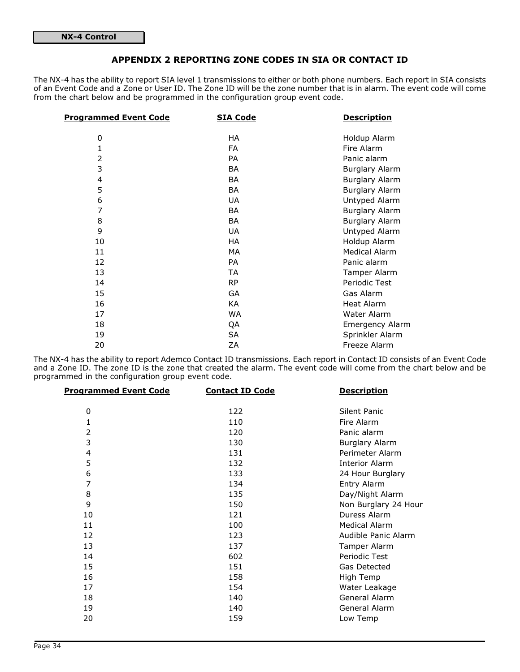## APPENDIX 2 REPORTING ZONE CODES IN SIA OR CONTACT ID

The NX-4 has the ability to report SIA level 1 transmissions to either or both phone numbers. Each report in SIA consists of an Event Code and a Zone or User ID. The Zone ID will be the zone number that is in alarm. The event code will come from the chart below and be programmed in the configuration group event code.

| <b>Programmed Event Code</b> | <b>SIA Code</b> | <b>Description</b>     |
|------------------------------|-----------------|------------------------|
| 0                            | HA              | Holdup Alarm           |
| 1                            | FA              | Fire Alarm             |
| 2                            | <b>PA</b>       | Panic alarm            |
| 3                            | <b>BA</b>       | <b>Burglary Alarm</b>  |
| 4                            | <b>BA</b>       | <b>Burglary Alarm</b>  |
| 5                            | <b>BA</b>       | <b>Burglary Alarm</b>  |
| 6                            | <b>UA</b>       | Untyped Alarm          |
| 7                            | <b>BA</b>       | <b>Burglary Alarm</b>  |
| 8                            | <b>BA</b>       | <b>Burglary Alarm</b>  |
| 9                            | <b>UA</b>       | Untyped Alarm          |
| 10                           | HA              | Holdup Alarm           |
| 11                           | МA              | <b>Medical Alarm</b>   |
| 12                           | <b>PA</b>       | Panic alarm            |
| 13                           | <b>TA</b>       | Tamper Alarm           |
| 14                           | <b>RP</b>       | Periodic Test          |
| 15                           | GA              | Gas Alarm              |
| 16                           | KA              | <b>Heat Alarm</b>      |
| 17                           | WA              | Water Alarm            |
| 18                           | QA              | <b>Emergency Alarm</b> |
| 19                           | SA              | Sprinkler Alarm        |
| 20                           | ΖA              | Freeze Alarm           |

The NX-4 has the ability to report Ademco Contact ID transmissions. Each report in Contact ID consists of an Event Code and a Zone ID. The zone ID is the zone that created the alarm. The event code will come from the chart below and be programmed in the configuration group event code.

| <b>Programmed Event Code</b> | <b>Contact ID Code</b> | <b>Description</b>    |
|------------------------------|------------------------|-----------------------|
| 0                            | 122                    | Silent Panic          |
| 1                            | 110                    | Fire Alarm            |
| 2                            | 120                    | Panic alarm           |
| 3                            | 130                    | <b>Burglary Alarm</b> |
| 4                            | 131                    | Perimeter Alarm       |
| 5                            | 132                    | <b>Interior Alarm</b> |
| 6                            | 133                    | 24 Hour Burglary      |
| 7                            | 134                    | Entry Alarm           |
| 8                            | 135                    | Day/Night Alarm       |
| 9                            | 150                    | Non Burglary 24 Hour  |
| 10                           | 121                    | Duress Alarm          |
| 11                           | 100                    | <b>Medical Alarm</b>  |
| 12                           | 123                    | Audible Panic Alarm   |
| 13                           | 137                    | Tamper Alarm          |
| 14                           | 602                    | Periodic Test         |
| 15                           | 151                    | Gas Detected          |
| 16                           | 158                    | High Temp             |
| 17                           | 154                    | Water Leakage         |
| 18                           | 140                    | General Alarm         |
| 19                           | 140                    | General Alarm         |
| 20                           | 159                    | Low Temp              |
|                              |                        |                       |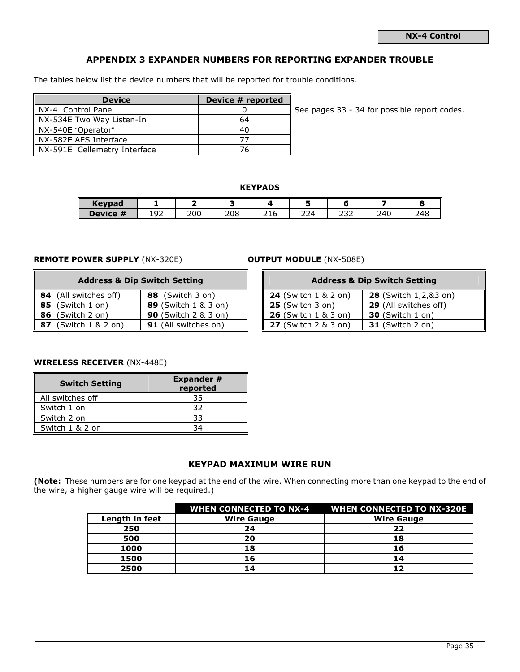Page 35

# APPENDIX 3 EXPANDER NUMBERS FOR REPORTING EXPANDER TROUBLE

The tables below list the device numbers that will be reported for trouble conditions.

| <b>Device</b>                | Device # reported |    |
|------------------------------|-------------------|----|
| NX-4 Control Panel           |                   | Sε |
| NX-534E Two Way Listen-In    | 64                |    |
| NX-540E "Operator"           | 40                |    |
| NX-582E AES Interface        |                   |    |
| NX-591E Cellemetry Interface |                   |    |

ee pages 33 - 34 for possible report codes.

## KEYPADS

| <b>Kevpad</b>             |             |     |     |                       |     |               |     |     |
|---------------------------|-------------|-----|-----|-----------------------|-----|---------------|-----|-----|
| <br>Device 1<br><b>TT</b> | $\sim$<br>∼ | 200 | 208 | $\sim$ $\sim$<br>21 t | 224 | $\sim$<br>ے ت | 240 | 248 |

## REMOTE POWER SUPPLY (NX-320E) **OUTPUT MODULE** (NX-508E)

| <b>Address &amp; Dip Switch Setting</b> |                              |                             |                             | <b>Address &amp; Dip Switch Setting</b> |
|-----------------------------------------|------------------------------|-----------------------------|-----------------------------|-----------------------------------------|
|                                         | <b>84</b> (All switches off) | (Switch 3 on)<br>88         | <b>24</b> (Switch 1 & 2 on) | <b>28</b> (Switch 1,2,&3 on)            |
|                                         | 85 (Switch 1 on)             | <b>89</b> (Switch 1 & 3 on) | $25$ (Switch 3 on)          | 29 (All switches off)                   |
| 86                                      | (Switch 2 on)                | <b>90</b> (Switch 2 & 3 on) | <b>26</b> (Switch 1 & 3 on) | <b>30</b> (Switch 1 on)                 |
| 87                                      | (Switch 1 & 2 on)            | <b>91</b> (All switches on) | <b>27</b> (Switch 2 & 3 on) | <b>31</b> (Switch 2 on)                 |

| <b>Address &amp; Dip Switch Setting</b> |                             |  |                             | <b>Address &amp; Dip Switch Setting</b> |
|-----------------------------------------|-----------------------------|--|-----------------------------|-----------------------------------------|
| witches off)                            | 88 (Switch 3 on)            |  | <b>24</b> (Switch 1 & 2 on) | 28 (Switch 1,2,&3 on)                   |
| ch 1 on)                                | <b>89</b> (Switch 1 & 3 on) |  | <b>25</b> (Switch 3 on)     | <b>29</b> (All switches off)            |
| ch 2 on)                                | <b>90</b> (Switch 2 & 3 on) |  | <b>26</b> (Switch 1 & 3 on) | <b>30</b> (Switch 1 on)                 |
| ch $1 & 2$ on)                          | <b>91</b> (All switches on) |  | <b>27</b> (Switch 2 & 3 on) | <b>31</b> (Switch 2 on)                 |

## WIRELESS RECEIVER (NX-448E)

| <b>Switch Setting</b> | <b>Expander #</b><br>reported |  |  |
|-----------------------|-------------------------------|--|--|
| All switches off      | 35                            |  |  |
| Switch 1 on           | 32                            |  |  |
| Switch 2 on           | 33                            |  |  |
| Switch 1 & 2 on       |                               |  |  |

## KEYPAD MAXIMUM WIRE RUN

(Note: These numbers are for one keypad at the end of the wire. When connecting more than one keypad to the end of the wire, a higher gauge wire will be required.)

|                |                   | WHEN CONNECTED TO NX-4 WHEN CONNECTED TO NX-320E |
|----------------|-------------------|--------------------------------------------------|
| Length in feet | <b>Wire Gauge</b> | <b>Wire Gauge</b>                                |
| 250            | 24                | 22                                               |
| 500            | 20                | 18                                               |
| 1000           | 18                | 16                                               |
| 1500           | 1 6               | 14                                               |
| 2500           |                   | 12                                               |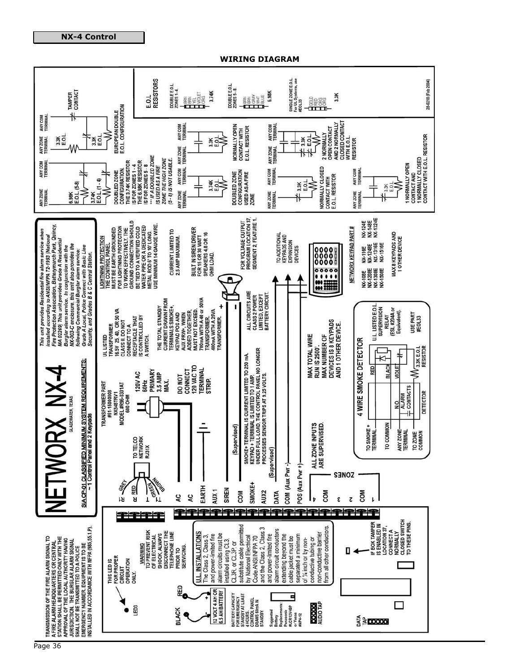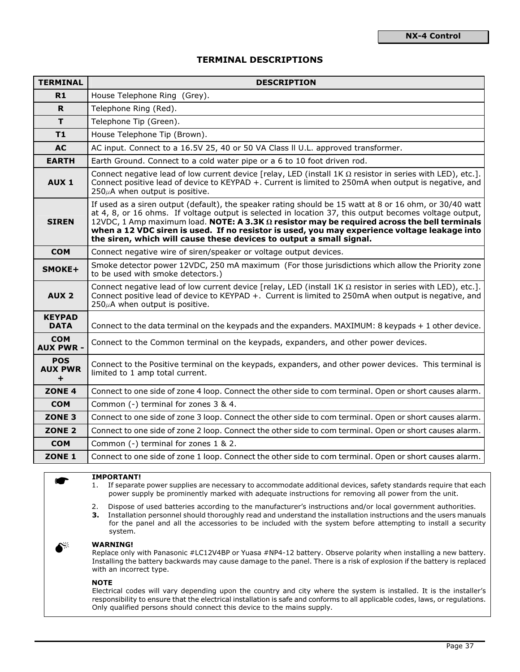## TERMINAL DESCRIPTIONS

| <b>TERMINAL</b>                        | <b>DESCRIPTION</b>                                                                                                                                                                                                                                                                                                                                                                                                                                                                              |
|----------------------------------------|-------------------------------------------------------------------------------------------------------------------------------------------------------------------------------------------------------------------------------------------------------------------------------------------------------------------------------------------------------------------------------------------------------------------------------------------------------------------------------------------------|
| R1                                     | House Telephone Ring (Grey).                                                                                                                                                                                                                                                                                                                                                                                                                                                                    |
| R                                      | Telephone Ring (Red).                                                                                                                                                                                                                                                                                                                                                                                                                                                                           |
| T                                      | Telephone Tip (Green).                                                                                                                                                                                                                                                                                                                                                                                                                                                                          |
| T1                                     | House Telephone Tip (Brown).                                                                                                                                                                                                                                                                                                                                                                                                                                                                    |
| <b>AC</b>                              | AC input. Connect to a 16.5V 25, 40 or 50 VA Class II U.L. approved transformer.                                                                                                                                                                                                                                                                                                                                                                                                                |
| <b>EARTH</b>                           | Earth Ground. Connect to a cold water pipe or a 6 to 10 foot driven rod.                                                                                                                                                                                                                                                                                                                                                                                                                        |
| AUX <sub>1</sub>                       | Connect negative lead of low current device [relay, LED (install $1K \Omega$ resistor in series with LED), etc.].<br>Connect positive lead of device to KEYPAD +. Current is limited to 250mA when output is negative, and<br>$250\mu$ A when output is positive.                                                                                                                                                                                                                               |
| <b>SIREN</b>                           | If used as a siren output (default), the speaker rating should be 15 watt at 8 or 16 ohm, or 30/40 watt<br>at 4, 8, or 16 ohms. If voltage output is selected in location 37, this output becomes voltage output,<br>12VDC, 1 Amp maximum load. NOTE: A 3.3K $\Omega$ resistor may be required across the bell terminals<br>when a 12 VDC siren is used. If no resistor is used, you may experience voltage leakage into<br>the siren, which will cause these devices to output a small signal. |
| <b>COM</b>                             | Connect negative wire of siren/speaker or voltage output devices.                                                                                                                                                                                                                                                                                                                                                                                                                               |
| SMOKE+                                 | Smoke detector power 12VDC, 250 mA maximum (For those jurisdictions which allow the Priority zone<br>to be used with smoke detectors.)                                                                                                                                                                                                                                                                                                                                                          |
| AUX <sub>2</sub>                       | Connect negative lead of low current device [relay, LED (install $1K \Omega$ resistor in series with LED), etc.].<br>Connect positive lead of device to KEYPAD +. Current is limited to 250mA when output is negative, and<br>$250\mu$ A when output is positive.                                                                                                                                                                                                                               |
| <b>KEYPAD</b><br><b>DATA</b>           | Connect to the data terminal on the keypads and the expanders. $MAXIMUM: 8$ keypads $+1$ other device.                                                                                                                                                                                                                                                                                                                                                                                          |
| <b>COM</b><br><b>AUX PWR -</b>         | Connect to the Common terminal on the keypads, expanders, and other power devices.                                                                                                                                                                                                                                                                                                                                                                                                              |
| <b>POS</b><br><b>AUX PWR</b><br>$\div$ | Connect to the Positive terminal on the keypads, expanders, and other power devices. This terminal is<br>limited to 1 amp total current.                                                                                                                                                                                                                                                                                                                                                        |
| ZONE <sub>4</sub>                      | Connect to one side of zone 4 loop. Connect the other side to com terminal. Open or short causes alarm.                                                                                                                                                                                                                                                                                                                                                                                         |
| <b>COM</b>                             | Common (-) terminal for zones 3 & 4.                                                                                                                                                                                                                                                                                                                                                                                                                                                            |
| ZONE <sub>3</sub>                      | Connect to one side of zone 3 loop. Connect the other side to com terminal. Open or short causes alarm.                                                                                                                                                                                                                                                                                                                                                                                         |
| ZONE <sub>2</sub>                      | Connect to one side of zone 2 loop. Connect the other side to com terminal. Open or short causes alarm.                                                                                                                                                                                                                                                                                                                                                                                         |
| <b>COM</b>                             | Common (-) terminal for zones 1 & 2.                                                                                                                                                                                                                                                                                                                                                                                                                                                            |
| ZONE <sub>1</sub>                      | Connect to one side of zone 1 loop. Connect the other side to com terminal. Open or short causes alarm.                                                                                                                                                                                                                                                                                                                                                                                         |

#### IMPORTANT!

- 1. If separate power supplies are necessary to accommodate additional devices, safety standards require that each power supply be prominently marked with adequate instructions for removing all power from the unit.
- 2. Dispose of used batteries according to the manufacturer's instructions and/or local government authorities.
- 3. Installation personnel should thoroughly read and understand the installation instructions and the users manuals for the panel and all the accessories to be included with the system before attempting to install a security system.



*K*

 $\mathbb{R}$  WARNING!

Replace only with Panasonic #LC12V4BP or Yuasa #NP4-12 battery. Observe polarity when installing a new battery. Installing the battery backwards may cause damage to the panel. There is a risk of explosion if the battery is replaced with an incorrect type.

#### **NOTE**

Electrical codes will vary depending upon the country and city where the system is installed. It is the installer's responsibility to ensure that the electrical installation is safe and conforms to all applicable codes, laws, or regulations. Only qualified persons should connect this device to the mains supply.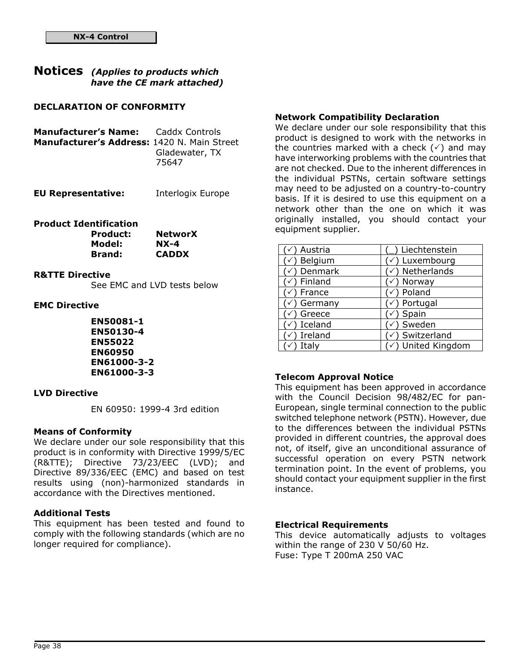# Notices (Applies to products which have the CE mark attached)

## DECLARATION OF CONFORMITY

| <b>Manufacturer's Name:</b> Caddx Controls  |                         |
|---------------------------------------------|-------------------------|
| Manufacturer's Address: 1420 N. Main Street |                         |
|                                             | Gladewater, TX<br>75647 |

| <b>EU Representative:</b> | Interlogix Europe |
|---------------------------|-------------------|
|---------------------------|-------------------|

# Product Identification

| <b>Product:</b> | <b>NetworX</b> |
|-----------------|----------------|
| Model:          | $NX-4$         |
| <b>Brand:</b>   | <b>CADDX</b>   |

## R&TTE Directive

See EMC and LVD tests below

## EMC Directive

EN50081-1 EN50130-4 EN55022 EN60950 EN61000-3-2 EN61000-3-3

## LVD Directive

EN 60950: 1999-4 3rd edition

## Means of Conformity

We declare under our sole responsibility that this product is in conformity with Directive 1999/5/EC (R&TTE); Directive 73/23/EEC (LVD); and Directive 89/336/EEC (EMC) and based on test results using (non)-harmonized standards in accordance with the Directives mentioned.

## Additional Tests

This equipment has been tested and found to comply with the following standards (which are no longer required for compliance).

## Network Compatibility Declaration

We declare under our sole responsibility that this product is designed to work with the networks in the countries marked with a check  $(\check{\phantom{a}})$  and may have interworking problems with the countries that are not checked. Due to the inherent differences in the individual PSTNs, certain software settings may need to be adjusted on a country-to-country basis. If it is desired to use this equipment on a network other than the one on which it was originally installed, you should contact your equipment supplier.

| Austria | Liechtenstein                 |
|---------|-------------------------------|
| Belgium | Luxembourg                    |
| Denmark | Netherlands                   |
| Finland | Norway                        |
| France  | Poland                        |
| Germany | ) Portugal                    |
| Greece  | Spain                         |
| Iceland | Sweden                        |
| Ireland | Switzerland                   |
| Italv   | $\checkmark$ ) United Kingdom |

## Telecom Approval Notice

This equipment has been approved in accordance with the Council Decision 98/482/EC for pan-European, single terminal connection to the public switched telephone network (PSTN). However, due to the differences between the individual PSTNs provided in different countries, the approval does not, of itself, give an unconditional assurance of successful operation on every PSTN network termination point. In the event of problems, you should contact your equipment supplier in the first instance.

## Electrical Requirements

This device automatically adjusts to voltages within the range of 230 V 50/60 Hz. Fuse: Type T 200mA 250 VAC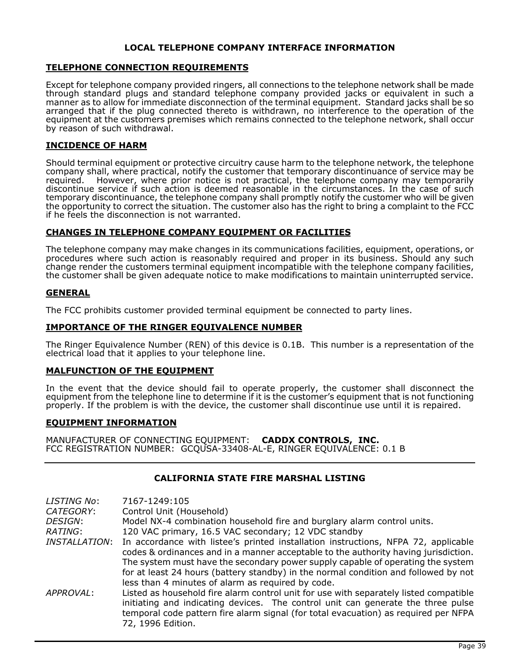## LOCAL TELEPHONE COMPANY INTERFACE INFORMATION

## TELEPHONE CONNECTION REQUIREMENTS

Except for telephone company provided ringers, all connections to the telephone network shall be made through standard plugs and standard telephone company provided jacks or equivalent in such a manner as to allow for immediate disconnection of the terminal equipment. Standard jacks shall be so arranged that if the plug connected thereto is withdrawn, no interference to the operation of the equipment at the customers premises which remains connected to the telephone network, shall occur by reason of such withdrawal.

## INCIDENCE OF HARM

Should terminal equipment or protective circuitry cause harm to the telephone network, the telephone company shall, where practical, notify the customer that temporary discontinuance of service may be required. However, where prior notice is not practical, the telephone company may temporarily discontinue service if such action is deemed reasonable in the circumstances. In the case of such temporary discontinuance, the telephone company shall promptly notify the customer who will be given the opportunity to correct the situation. The customer also has the right to bring a complaint to the FCC if he feels the disconnection is not warranted.

## CHANGES IN TELEPHONE COMPANY EQUIPMENT OR FACILITIES

The telephone company may make changes in its communications facilities, equipment, operations, or procedures where such action is reasonably required and proper in its business. Should any such change render the customers terminal equipment incompatible with the telephone company facilities, the customer shall be given adequate notice to make modifications to maintain uninterrupted service.

## GENERAL

The FCC prohibits customer provided terminal equipment be connected to party lines.

## IMPORTANCE OF THE RINGER EQUIVALENCE NUMBER

The Ringer Equivalence Number (REN) of this device is 0.1B. This number is a representation of the electrical load that it applies to your telephone line.

## MALFUNCTION OF THE EQUIPMENT

In the event that the device should fail to operate properly, the customer shall disconnect the equipment from the telephone line to determine if it is the customer's equipment that is not functioning properly. If the problem is with the device, the customer shall discontinue use until it is repaired.

## EQUIPMENT INFORMATION

MANUFACTURER OF CONNECTING EQUIPMENT: CADDX CONTROLS, INC. FCC REGISTRATION NUMBER: GCQUSA-33408-AL-E, RINGER EQUIVALENCE: 0.1 B

## CALIFORNIA STATE FIRE MARSHAL LISTING

| LISTING No:                 | 7167-1249:105                                                                                                                                                                                                                                                                                                                                                                                            |
|-----------------------------|----------------------------------------------------------------------------------------------------------------------------------------------------------------------------------------------------------------------------------------------------------------------------------------------------------------------------------------------------------------------------------------------------------|
| CATEGORY:                   | Control Unit (Household)                                                                                                                                                                                                                                                                                                                                                                                 |
| <i>DESIGN:</i>              | Model NX-4 combination household fire and burglary alarm control units.                                                                                                                                                                                                                                                                                                                                  |
| RATING:                     | 120 VAC primary, 16.5 VAC secondary; 12 VDC standby                                                                                                                                                                                                                                                                                                                                                      |
| <i><b>INSTALLATION:</b></i> | In accordance with listee's printed installation instructions, NFPA 72, applicable<br>codes & ordinances and in a manner acceptable to the authority having jurisdiction.<br>The system must have the secondary power supply capable of operating the system<br>for at least 24 hours (battery standby) in the normal condition and followed by not<br>less than 4 minutes of alarm as required by code. |
| APPROVAL:                   | Listed as household fire alarm control unit for use with separately listed compatible<br>initiating and indicating devices. The control unit can generate the three pulse<br>temporal code pattern fire alarm signal (for total evacuation) as required per NFPA<br>72, 1996 Edition.                                                                                                                    |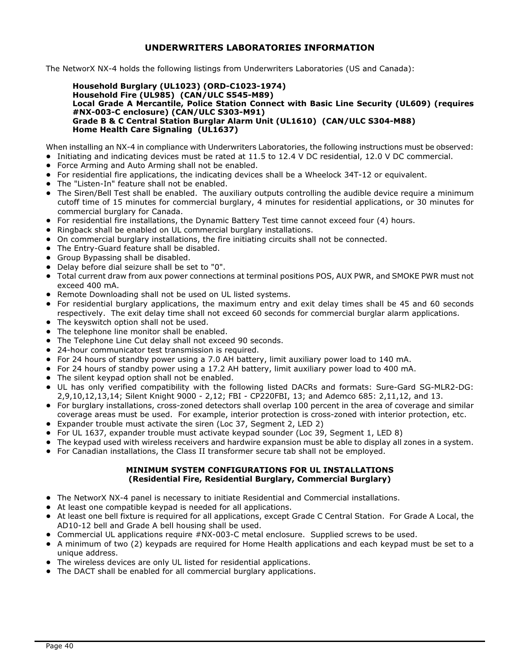## UNDERWRITERS LABORATORIES INFORMATION

The NetworX NX-4 holds the following listings from Underwriters Laboratories (US and Canada):

#### Household Burglary (UL1023) (ORD-C1023-1974) Household Fire (UL985) (CAN/ULC S545-M89) Local Grade A Mercantile, Police Station Connect with Basic Line Security (UL609) (requires #NX-003-C enclosure) (CAN/ULC S303-M91) Grade B & C Central Station Burglar Alarm Unit (UL1610) (CAN/ULC S304-M88) Home Health Care Signaling (UL1637)

When installing an NX-4 in compliance with Underwriters Laboratories, the following instructions must be observed:

- ! Initiating and indicating devices must be rated at 11.5 to 12.4 V DC residential, 12.0 V DC commercial.
- ! Force Arming and Auto Arming shall not be enabled.
- ! For residential fire applications, the indicating devices shall be a Wheelock 34T-12 or equivalent.
- ! The "Listen-In" feature shall not be enabled.
- ! The Siren/Bell Test shall be enabled. The auxiliary outputs controlling the audible device require a minimum cutoff time of 15 minutes for commercial burglary, 4 minutes for residential applications, or 30 minutes for commercial burglary for Canada.
- ! For residential fire installations, the Dynamic Battery Test time cannot exceed four (4) hours.
- ! Ringback shall be enabled on UL commercial burglary installations.
- ! On commercial burglary installations, the fire initiating circuits shall not be connected.
- **•** The Entry-Guard feature shall be disabled.
- **•** Group Bypassing shall be disabled.
- ! Delay before dial seizure shall be set to "0".
- ! Total current draw from aux power connections at terminal positions POS, AUX PWR, and SMOKE PWR must not exceed 400 mA.
- ! Remote Downloading shall not be used on UL listed systems.
- ! For residential burglary applications, the maximum entry and exit delay times shall be 45 and 60 seconds respectively. The exit delay time shall not exceed 60 seconds for commercial burglar alarm applications.
- The keyswitch option shall not be used.
- The telephone line monitor shall be enabled.
- The Telephone Line Cut delay shall not exceed 90 seconds.
- 24-hour communicator test transmission is required.
- ! For 24 hours of standby power using a 7.0 AH battery, limit auxiliary power load to 140 mA.
- ! For 24 hours of standby power using a 17.2 AH battery, limit auxiliary power load to 400 mA.
- The silent keypad option shall not be enabled.
- ! UL has only verified compatibility with the following listed DACRs and formats: Sure-Gard SG-MLR2-DG: 2,9,10,12,13,14; Silent Knight 9000 - 2,12; FBI - CP220FBI, 13; and Ademco 685: 2,11,12, and 13.
- ! For burglary installations, cross-zoned detectors shall overlap 100 percent in the area of coverage and similar coverage areas must be used. For example, interior protection is cross-zoned with interior protection, etc.
- ! Expander trouble must activate the siren (Loc 37, Segment 2, LED 2)
- ! For UL 1637, expander trouble must activate keypad sounder (Loc 39, Segment 1, LED 8)
- ! The keypad used with wireless receivers and hardwire expansion must be able to display all zones in a system.
- ! For Canadian installations, the Class II transformer secure tab shall not be employed.

## MINIMUM SYSTEM CONFIGURATIONS FOR UL INSTALLATIONS (Residential Fire, Residential Burglary, Commercial Burglary)

- ! The NetworX NX-4 panel is necessary to initiate Residential and Commercial installations.
- At least one compatible keypad is needed for all applications.
- ! At least one bell fixture is required for all applications, except Grade C Central Station. For Grade A Local, the AD10-12 bell and Grade A bell housing shall be used.
- ! Commercial UL applications require #NX-003-C metal enclosure. Supplied screws to be used.
- ! A minimum of two (2) keypads are required for Home Health applications and each keypad must be set to a unique address.
- ! The wireless devices are only UL listed for residential applications.
- **The DACT shall be enabled for all commercial burglary applications.**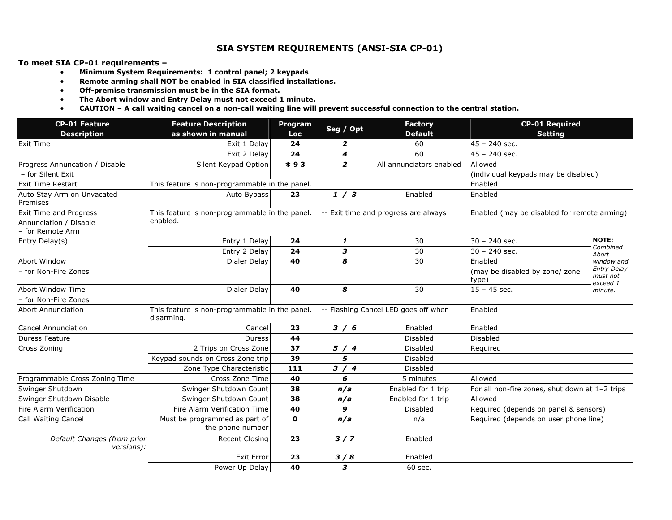## SIA SYSTEM REQUIREMENTS (ANSI-SIA CP-01)

To meet SIA CP-01 requirements –

- Minimum System Requirements: 1 control panel; 2 keypads
- Remote arming shall NOT be enabled in SIA classified installations.
- Off-premise transmission must be in the SIA format.
- The Abort window and Entry Delay must not exceed 1 minute.
- CAUTION A call waiting cancel on a non-call waiting line will prevent successful connection to the central station.

| <b>CP-01 Feature</b>                                                 | <b>Feature Description</b>                                   | Program      |                         | <b>Factory</b>                       | <b>CP-01 Required</b>                          |                                                       |
|----------------------------------------------------------------------|--------------------------------------------------------------|--------------|-------------------------|--------------------------------------|------------------------------------------------|-------------------------------------------------------|
| <b>Description</b>                                                   | as shown in manual                                           | Loc          | Seg / Opt               | <b>Default</b>                       | <b>Setting</b>                                 |                                                       |
| <b>Exit Time</b>                                                     | Exit 1 Delay                                                 | 24           | 2                       | 60                                   | $45 - 240$ sec.                                |                                                       |
|                                                                      | Exit 2 Delay                                                 | 24           | 4                       | 60                                   | $45 - 240$ sec.                                |                                                       |
| Progress Annuncation / Disable                                       | Silent Keypad Option                                         | $*93$        | $\overline{\mathbf{z}}$ | All annunciators enabled             | Allowed                                        |                                                       |
| - for Silent Exit                                                    |                                                              |              |                         |                                      | (individual keypads may be disabled)           |                                                       |
| <b>Exit Time Restart</b>                                             | This feature is non-programmable in the panel.               |              |                         |                                      | Enabled                                        |                                                       |
| Auto Stay Arm on Unvacated<br>Premises                               | Auto Bypass                                                  | 23           | 1/3                     | Enabled                              | Enabled                                        |                                                       |
| Exit Time and Progress<br>Annunciation / Disable<br>- for Remote Arm | This feature is non-programmable in the panel.<br>enabled.   |              |                         | -- Exit time and progress are always | Enabled (may be disabled for remote arming)    |                                                       |
| Entry Delay(s)                                                       | Entry 1 Delay                                                | 24           | 1                       | 30                                   | $30 - 240$ sec.                                | <b>NOTE:</b>                                          |
|                                                                      | Entry 2 Delay                                                | 24           | з                       | 30                                   | $30 - 240$ sec.                                | Combined<br>Abort                                     |
| Abort Window                                                         | Dialer Delay                                                 | 40           | 8                       | 30                                   | Enabled                                        | window and                                            |
| - for Non-Fire Zones                                                 |                                                              |              |                         |                                      | (may be disabled by zone/ zone<br>type)        | <b>Entry Delay</b><br>must not<br>exceed 1<br>minute. |
| Abort Window Time                                                    | Dialer Delay                                                 | 40           | 8                       | 30                                   | $15 - 45$ sec.                                 |                                                       |
| - for Non-Fire Zones                                                 |                                                              |              |                         |                                      |                                                |                                                       |
| <b>Abort Annunciation</b>                                            | This feature is non-programmable in the panel.<br>disarming. |              |                         | -- Flashing Cancel LED goes off when | Enabled                                        |                                                       |
| <b>Cancel Annunciation</b>                                           | Cancel                                                       | 23           | 3/6                     | Enabled                              | Enabled                                        |                                                       |
| <b>Duress Feature</b>                                                | <b>Duress</b>                                                | 44           |                         | Disabled                             | Disabled                                       |                                                       |
| Cross Zoning                                                         | 2 Trips on Cross Zone                                        | 37           | 5/4                     | <b>Disabled</b>                      | Required                                       |                                                       |
|                                                                      | Keypad sounds on Cross Zone trip                             | 39           | 5                       | <b>Disabled</b>                      |                                                |                                                       |
|                                                                      | Zone Type Characteristic                                     | 111          | 3/4                     | <b>Disabled</b>                      |                                                |                                                       |
| Programmable Cross Zoning Time                                       | Cross Zone Time                                              | 40           | 6                       | 5 minutes                            | Allowed                                        |                                                       |
| Swinger Shutdown                                                     | Swinger Shutdown Count                                       | 38           | n/a                     | Enabled for 1 trip                   | For all non-fire zones, shut down at 1-2 trips |                                                       |
| Swinger Shutdown Disable                                             | Swinger Shutdown Count                                       | 38           | n/a                     | Enabled for 1 trip                   | Allowed                                        |                                                       |
| Fire Alarm Verification                                              | Fire Alarm Verification Time                                 | 40           | 9                       | <b>Disabled</b>                      | Required (depends on panel & sensors)          |                                                       |
| <b>Call Waiting Cancel</b>                                           | Must be programmed as part of<br>the phone number            | $\mathbf{0}$ | n/a                     | n/a                                  | Required (depends on user phone line)          |                                                       |
| Default Changes (from prior<br>versions):                            | Recent Closing                                               | 23           | 3/7                     | Enabled                              |                                                |                                                       |
|                                                                      | <b>Exit Error</b>                                            | 23           | 3/8                     | Enabled                              |                                                |                                                       |
|                                                                      | Power Up Delay                                               | 40           | 3                       | 60 sec.                              |                                                |                                                       |